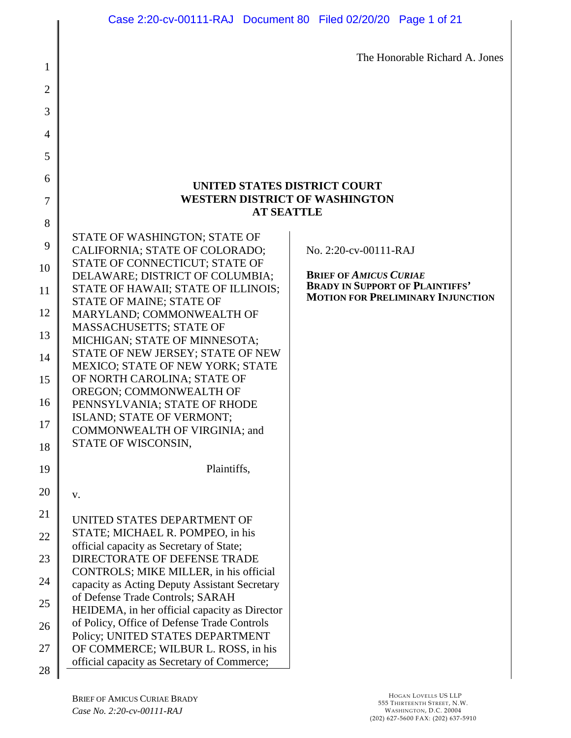The Honorable Richard A. Jones

# **UNITED STATES DISTRICT COURT WESTERN DISTRICT OF WASHINGTON AT SEATTLE**

| δ  |                                                                                                                        |
|----|------------------------------------------------------------------------------------------------------------------------|
| 9  | STATE OF WASHINGTON; STATE OF<br>CALIFORNIA; STATE OF COLORADO;                                                        |
| 10 | STATE OF CONNECTICUT; STATE OF<br>DELAWARE; DISTRICT OF COLUMBIA;                                                      |
| 11 | STATE OF HAWAII; STATE OF ILLINOIS;                                                                                    |
| 12 | STATE OF MAINE; STATE OF<br>MARYLAND; COMMONWEALTH OF                                                                  |
| 13 | MASSACHUSETTS; STATE OF<br>MICHIGAN; STATE OF MINNESOTA;                                                               |
| 14 | STATE OF NEW JERSEY; STATE OF NEW<br><b>MEXICO; STATE OF NEW YORK; STATE</b>                                           |
| 15 | OF NORTH CAROLINA; STATE OF                                                                                            |
| 16 | OREGON; COMMONWEALTH OF<br>PENNSYLVANIA; STATE OF RHODE                                                                |
| 17 | ISLAND; STATE OF VERMONT;<br>COMMONWEALTH OF VIRGINIA; and                                                             |
| 18 | STATE OF WISCONSIN,                                                                                                    |
|    |                                                                                                                        |
| 19 | Plaintiffs,                                                                                                            |
| 20 | v.                                                                                                                     |
| 21 | UNITED STATES DEPARTMENT OF                                                                                            |
| 22 | STATE; MICHAEL R. POMPEO, in his                                                                                       |
| 23 | official capacity as Secretary of State;<br>DIRECTORATE OF DEFENSE TRADE                                               |
| 24 | CONTROLS; MIKE MILLER, in his official<br>capacity as Acting Deputy Assistant Secretary                                |
| 25 | of Defense Trade Controls; SARAH                                                                                       |
| 26 | HEIDEMA, in her official capacity as Director<br>of Policy, Office of Defense Trade Controls                           |
| 27 | Policy; UNITED STATES DEPARTMENT<br>OF COMMERCE; WILBUR L. ROSS, in his<br>official capacity as Secretary of Commerce; |

1

2

3

4

5

6

7

 $\sim$ 

No. 2:20-cv-00111-RAJ

**BRIEF OF** *AMICUS CURIAE*  **BRADY IN SUPPORT OF PLAINTIFFS' MOTION FOR PRELIMINARY INJUNCTION**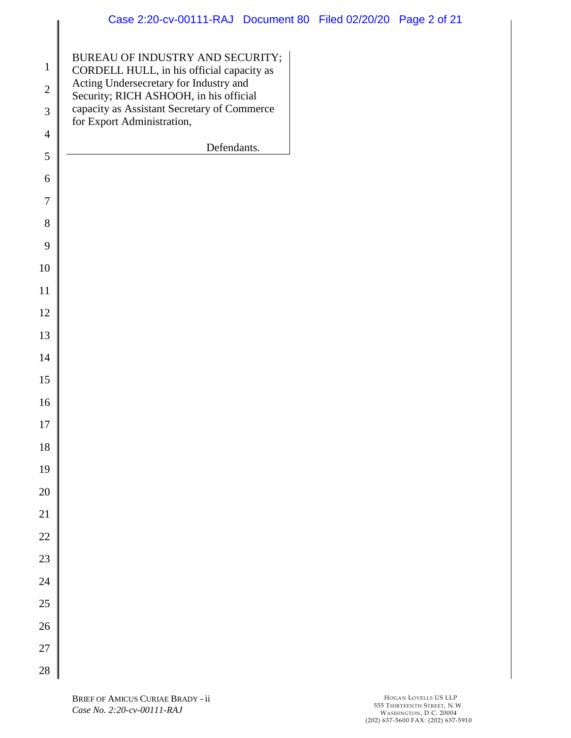| $\mathbf{1}$   | BUREAU OF INDUSTRY AND SECURITY;                                                      |
|----------------|---------------------------------------------------------------------------------------|
| $\overline{2}$ | CORDELL HULL, in his official capacity as<br>Acting Undersecretary for Industry and   |
| 3              | Security; RICH ASHOOH, in his official<br>capacity as Assistant Secretary of Commerce |
|                | for Export Administration,                                                            |
| $\overline{4}$ | Defendants.                                                                           |
| 5              |                                                                                       |
| 6              |                                                                                       |
| $\overline{7}$ |                                                                                       |
| 8              |                                                                                       |
| 9              |                                                                                       |
| 10             |                                                                                       |
| 11             |                                                                                       |
| 12             |                                                                                       |
| 13             |                                                                                       |
| 14             |                                                                                       |
| 15             |                                                                                       |
| 16             |                                                                                       |
| 17             |                                                                                       |
| 18             |                                                                                       |
| 19             |                                                                                       |
| 20             |                                                                                       |
| 21             |                                                                                       |
| 22             |                                                                                       |
| 23             |                                                                                       |
| 24             |                                                                                       |
| 25             |                                                                                       |
| 26             |                                                                                       |
| 27             |                                                                                       |
| 28             |                                                                                       |

║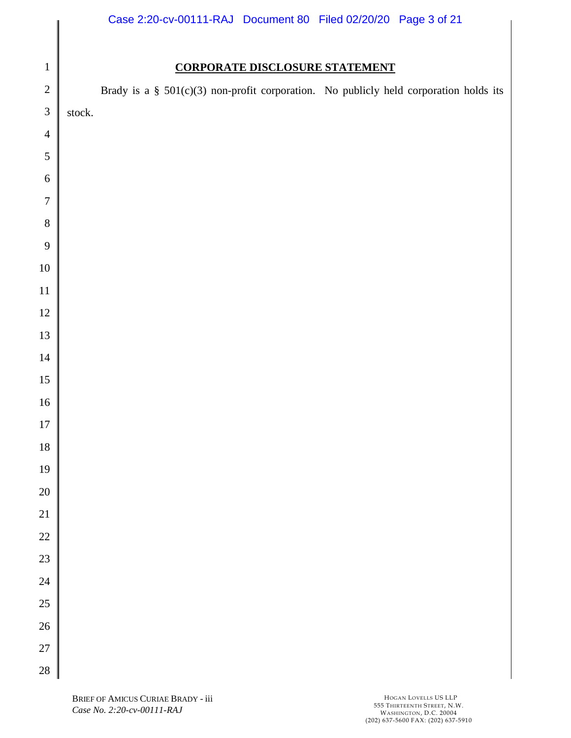# Case 2:20-cv-00111-RAJ Document 80 Filed 02/20/20 Page 3 of 21

# **CORPORATE DISCLOSURE STATEMENT**

| $\sqrt{2}$            |        |  |  | Brady is a $\S$ 501(c)(3) non-profit corporation. No publicly held corporation holds its |  |  |
|-----------------------|--------|--|--|------------------------------------------------------------------------------------------|--|--|
| $\sqrt{3}$            | stock. |  |  |                                                                                          |  |  |
| $\overline{4}$        |        |  |  |                                                                                          |  |  |
| $\sqrt{5}$            |        |  |  |                                                                                          |  |  |
| $\sqrt{6}$            |        |  |  |                                                                                          |  |  |
| $\boldsymbol{7}$      |        |  |  |                                                                                          |  |  |
| $\, 8$                |        |  |  |                                                                                          |  |  |
| 9                     |        |  |  |                                                                                          |  |  |
| $10\,$                |        |  |  |                                                                                          |  |  |
| $11\,$                |        |  |  |                                                                                          |  |  |
| $12\,$                |        |  |  |                                                                                          |  |  |
| 13                    |        |  |  |                                                                                          |  |  |
| $14\,$                |        |  |  |                                                                                          |  |  |
| $15\,$                |        |  |  |                                                                                          |  |  |
| $16\,$                |        |  |  |                                                                                          |  |  |
| $17\,$                |        |  |  |                                                                                          |  |  |
| $18\,$                |        |  |  |                                                                                          |  |  |
| $19\,$                |        |  |  |                                                                                          |  |  |
| 20<br>$\overline{21}$ |        |  |  |                                                                                          |  |  |
| 22                    |        |  |  |                                                                                          |  |  |
| 23                    |        |  |  |                                                                                          |  |  |
| 24                    |        |  |  |                                                                                          |  |  |
| 25                    |        |  |  |                                                                                          |  |  |
| $26\text{ }$          |        |  |  |                                                                                          |  |  |
| 27                    |        |  |  |                                                                                          |  |  |
| $\overline{28}$       |        |  |  |                                                                                          |  |  |
|                       |        |  |  |                                                                                          |  |  |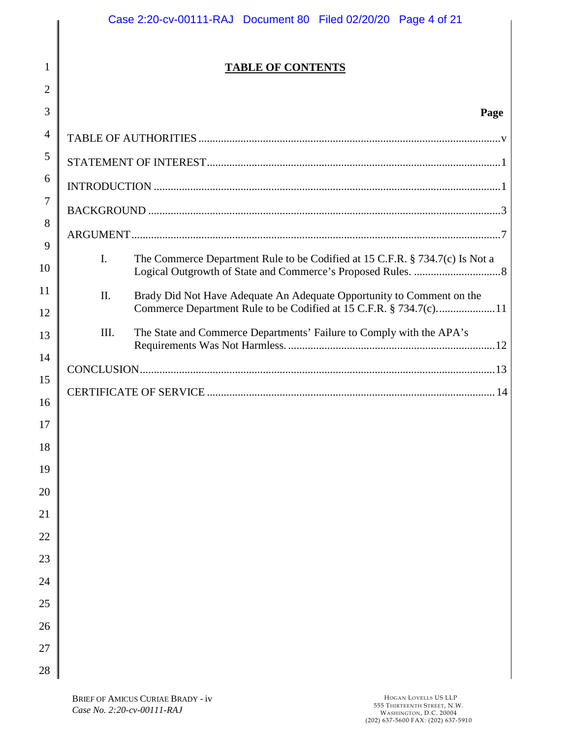# **TABLE OF CONTENTS**

# **Page**

| 3              |      | Page                                                                                                                                       |  |  |  |
|----------------|------|--------------------------------------------------------------------------------------------------------------------------------------------|--|--|--|
| $\overline{4}$ |      |                                                                                                                                            |  |  |  |
| 5              |      |                                                                                                                                            |  |  |  |
| 6              |      |                                                                                                                                            |  |  |  |
| $\overline{7}$ |      |                                                                                                                                            |  |  |  |
| 8              |      |                                                                                                                                            |  |  |  |
| 9<br>10        | I.   | The Commerce Department Rule to be Codified at 15 C.F.R. § 734.7(c) Is Not a                                                               |  |  |  |
| 11<br>12       | Π.   | Brady Did Not Have Adequate An Adequate Opportunity to Comment on the<br>Commerce Department Rule to be Codified at 15 C.F.R. § 734.7(c)11 |  |  |  |
| 13             | III. | The State and Commerce Departments' Failure to Comply with the APA's                                                                       |  |  |  |
| 14             |      |                                                                                                                                            |  |  |  |
| 15             |      |                                                                                                                                            |  |  |  |
| 16<br>17       |      |                                                                                                                                            |  |  |  |
| 18             |      |                                                                                                                                            |  |  |  |
| 19             |      |                                                                                                                                            |  |  |  |
| 20             |      |                                                                                                                                            |  |  |  |
| 21             |      |                                                                                                                                            |  |  |  |
| 22             |      |                                                                                                                                            |  |  |  |
| 23             |      |                                                                                                                                            |  |  |  |
| 24             |      |                                                                                                                                            |  |  |  |
| 25             |      |                                                                                                                                            |  |  |  |
| 26             |      |                                                                                                                                            |  |  |  |
| 27             |      |                                                                                                                                            |  |  |  |
| 28             |      |                                                                                                                                            |  |  |  |

1

2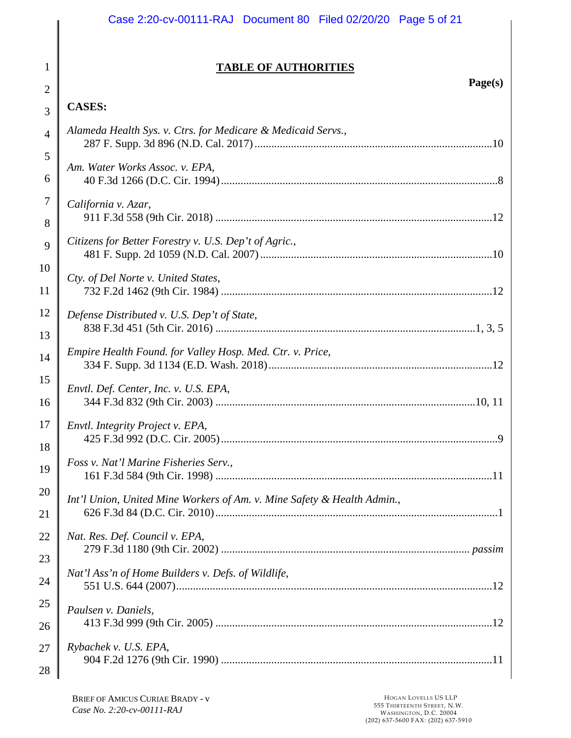# **TABLE OF AUTHORITIES**

# **CASES:**

1

2

3

| $\overline{4}$ | Alameda Health Sys. v. Ctrs. for Medicare & Medicaid Servs.,            |
|----------------|-------------------------------------------------------------------------|
| 5              |                                                                         |
| 6              | Am. Water Works Assoc. v. EPA,                                          |
| $\overline{7}$ | California v. Azar,                                                     |
| 8              |                                                                         |
| 9              | Citizens for Better Forestry v. U.S. Dep't of Agric.,                   |
| 10             |                                                                         |
| 11             | Cty. of Del Norte v. United States,                                     |
| 12             | Defense Distributed v. U.S. Dep't of State,                             |
| 13             |                                                                         |
| 14             | Empire Health Found. for Valley Hosp. Med. Ctr. v. Price,               |
|                |                                                                         |
| 15             | Envtl. Def. Center, Inc. v. U.S. EPA,                                   |
| 16             |                                                                         |
| 17             | Envtl. Integrity Project v. EPA,                                        |
| 18             |                                                                         |
| 19             | Foss v. Nat'l Marine Fisheries Serv.,                                   |
|                |                                                                         |
| 20             | Int'l Union, United Mine Workers of Am. v. Mine Safety & Health Admin., |
| 21             |                                                                         |
| 22             | Nat. Res. Def. Council v. EPA,                                          |
| 23             |                                                                         |
| 24             | Nat'l Ass'n of Home Builders v. Defs. of Wildlife,                      |
| 25             |                                                                         |
| 26             | Paulsen v. Daniels,                                                     |
| 27             | Rybachek v. U.S. EPA,                                                   |
| 28             |                                                                         |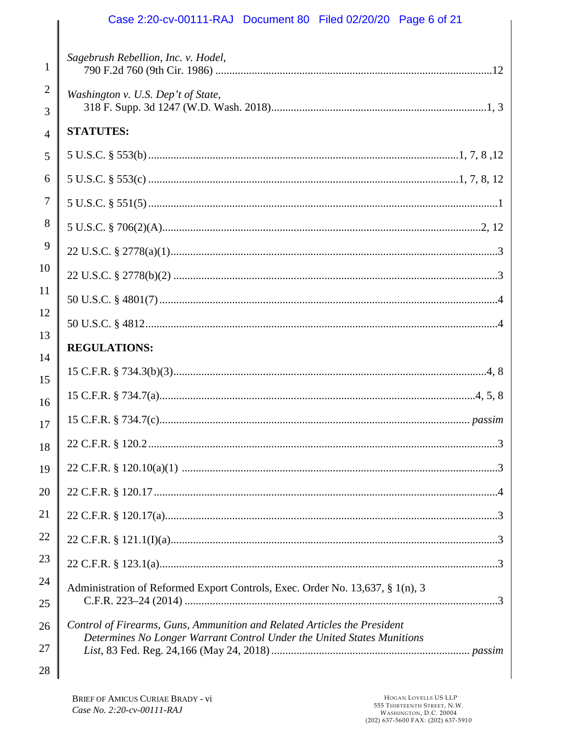# Case 2:20-cv-00111-RAJ Document 80 Filed 02/20/20 Page 6 of 21

| 1              | Sagebrush Rebellion, Inc. v. Hodel,                                           |
|----------------|-------------------------------------------------------------------------------|
| $\overline{2}$ | Washington v. U.S. Dep't of State,                                            |
| 3              |                                                                               |
| $\overline{4}$ | <b>STATUTES:</b>                                                              |
| 5              |                                                                               |
| 6              |                                                                               |
| 7              |                                                                               |
| 8              |                                                                               |
| 9              |                                                                               |
| 10             |                                                                               |
| 11             |                                                                               |
| 12             |                                                                               |
| 13             | <b>REGULATIONS:</b>                                                           |
| 14             |                                                                               |
| 15             |                                                                               |
| 16<br>17       |                                                                               |
| 18             |                                                                               |
| 19             |                                                                               |
| 20             |                                                                               |
| 21             |                                                                               |
| 22             |                                                                               |
| 23             |                                                                               |
| 24             | Administration of Reformed Export Controls, Exec. Order No. 13,637, § 1(n), 3 |
| 25             |                                                                               |
| 26             | Control of Firearms, Guns, Ammunition and Related Articles the President      |
| 27             | Determines No Longer Warrant Control Under the United States Munitions        |
| 28             |                                                                               |

║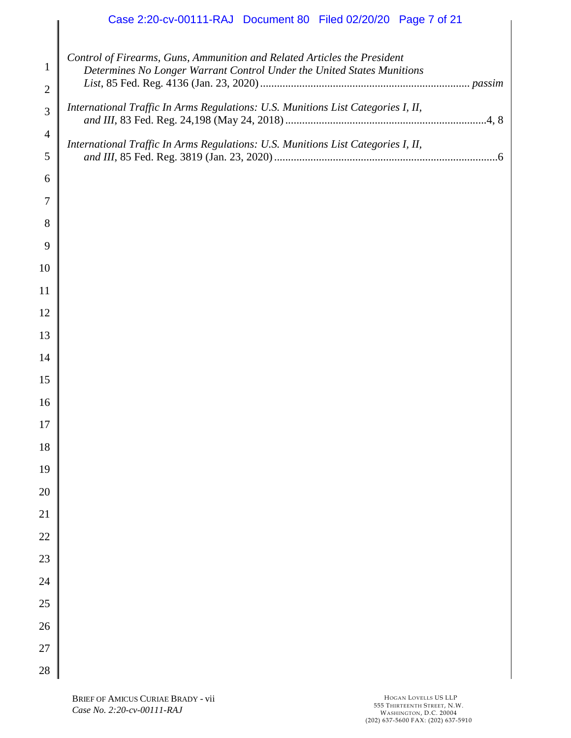# Case 2:20-cv-00111-RAJ Document 80 Filed 02/20/20 Page 7 of 21

| $\mathbf{1}$<br>$\overline{2}$ | Control of Firearms, Guns, Ammunition and Related Articles the President<br>Determines No Longer Warrant Control Under the United States Munitions |
|--------------------------------|----------------------------------------------------------------------------------------------------------------------------------------------------|
| 3                              | International Traffic In Arms Regulations: U.S. Munitions List Categories I, II,                                                                   |
| $\overline{4}$                 | International Traffic In Arms Regulations: U.S. Munitions List Categories I, II,                                                                   |
| 5                              |                                                                                                                                                    |
| 6                              |                                                                                                                                                    |
| $\tau$                         |                                                                                                                                                    |
| 8                              |                                                                                                                                                    |
| 9                              |                                                                                                                                                    |
| 10                             |                                                                                                                                                    |
| 11                             |                                                                                                                                                    |
| 12                             |                                                                                                                                                    |
| 13                             |                                                                                                                                                    |
| 14                             |                                                                                                                                                    |
| 15                             |                                                                                                                                                    |
| 16                             |                                                                                                                                                    |
| 17                             |                                                                                                                                                    |
| 18                             |                                                                                                                                                    |
| 19                             |                                                                                                                                                    |
| 20                             |                                                                                                                                                    |
| 21                             |                                                                                                                                                    |
| $22\,$                         |                                                                                                                                                    |
| 23                             |                                                                                                                                                    |
| 24                             |                                                                                                                                                    |
| 25                             |                                                                                                                                                    |
| 26                             |                                                                                                                                                    |
| $27\,$                         |                                                                                                                                                    |
| 28                             |                                                                                                                                                    |

 $\parallel$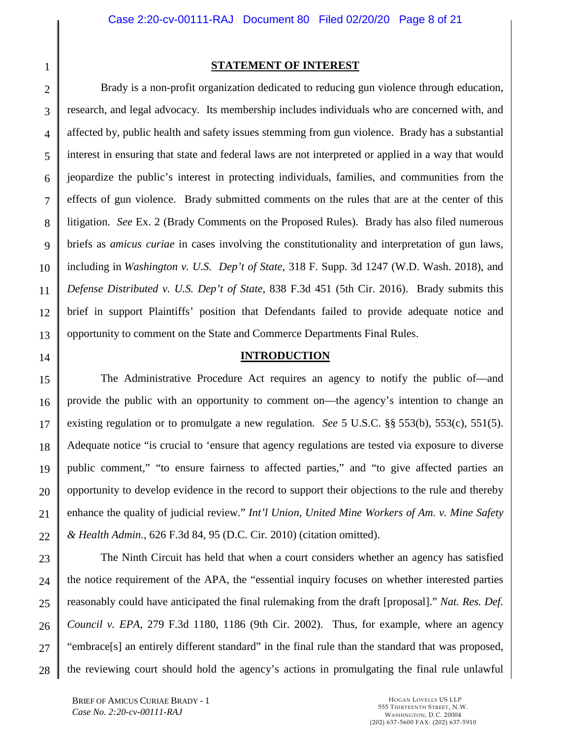1

## <span id="page-7-0"></span>**STATEMENT OF INTEREST**

2 3 4 5 6 7 8 9 10 11 12 13 Brady is a non-profit organization dedicated to reducing gun violence through education, research, and legal advocacy. Its membership includes individuals who are concerned with, and affected by, public health and safety issues stemming from gun violence. Brady has a substantial interest in ensuring that state and federal laws are not interpreted or applied in a way that would jeopardize the public's interest in protecting individuals, families, and communities from the effects of gun violence. Brady submitted comments on the rules that are at the center of this litigation. *See* Ex. 2 (Brady Comments on the Proposed Rules). Brady has also filed numerous briefs as *amicus curiae* in cases involving the constitutionality and interpretation of gun laws, including in *Washington v. U.S. Dep't of State*, 318 F. Supp. 3d 1247 (W.D. Wash. 2018), and *Defense Distributed v. U.S. Dep't of State*, 838 F.3d 451 (5th Cir. 2016). Brady submits this brief in support Plaintiffs' position that Defendants failed to provide adequate notice and opportunity to comment on the State and Commerce Departments Final Rules.

<span id="page-7-5"></span><span id="page-7-2"></span>14

## <span id="page-7-6"></span><span id="page-7-4"></span><span id="page-7-3"></span><span id="page-7-1"></span>**INTRODUCTION**

15 16 17 18 19 20 21 22 The Administrative Procedure Act requires an agency to notify the public of—and provide the public with an opportunity to comment on—the agency's intention to change an existing regulation or to promulgate a new regulation. *See* 5 U.S.C. §§ 553(b), 553(c), 551(5). Adequate notice "is crucial to 'ensure that agency regulations are tested via exposure to diverse public comment," "to ensure fairness to affected parties," and "to give affected parties an opportunity to develop evidence in the record to support their objections to the rule and thereby enhance the quality of judicial review." *Int'l Union, United Mine Workers of Am. v. Mine Safety & Health Admin.*, 626 F.3d 84, 95 (D.C. Cir. 2010) (citation omitted).

23 24 25 26 27 28 The Ninth Circuit has held that when a court considers whether an agency has satisfied the notice requirement of the APA, the "essential inquiry focuses on whether interested parties reasonably could have anticipated the final rulemaking from the draft [proposal]." *Nat. Res. Def. Council v. EPA*, 279 F.3d 1180, 1186 (9th Cir. 2002). Thus, for example, where an agency "embrace[s] an entirely different standard" in the final rule than the standard that was proposed, the reviewing court should hold the agency's actions in promulgating the final rule unlawful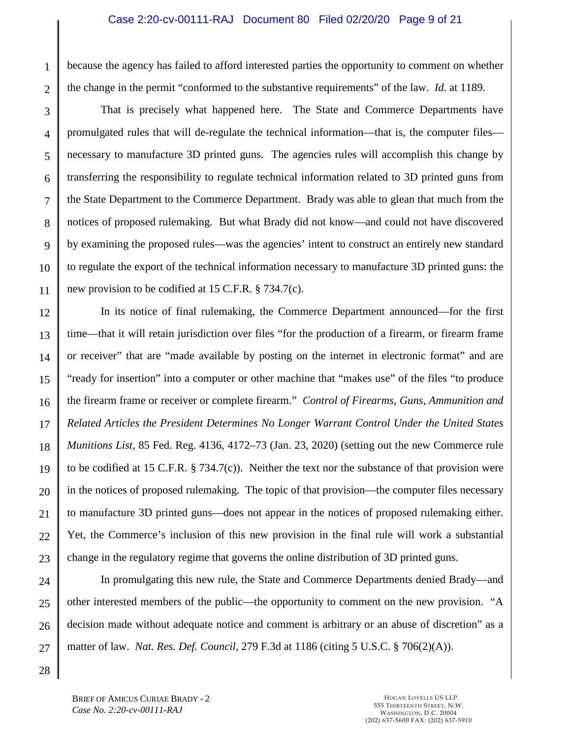## Case 2:20-cv-00111-RAJ Document 80 Filed 02/20/20 Page 9 of 21

1 2 because the agency has failed to afford interested parties the opportunity to comment on whether the change in the permit "conformed to the substantive requirements" of the law. *Id.* at 1189.

3 4 5 6 7 8 9 10 11 That is precisely what happened here. The State and Commerce Departments have promulgated rules that will de-regulate the technical information—that is, the computer files necessary to manufacture 3D printed guns. The agencies rules will accomplish this change by transferring the responsibility to regulate technical information related to 3D printed guns from the State Department to the Commerce Department. Brady was able to glean that much from the notices of proposed rulemaking. But what Brady did not know—and could not have discovered by examining the proposed rules—was the agencies' intent to construct an entirely new standard to regulate the export of the technical information necessary to manufacture 3D printed guns: the new provision to be codified at 15 C.F.R. § 734.7(c).

<span id="page-8-0"></span>12 13 14 15 16 17 18 19 20 21 22 23 In its notice of final rulemaking, the Commerce Department announced—for the first time—that it will retain jurisdiction over files "for the production of a firearm, or firearm frame or receiver" that are "made available by posting on the internet in electronic format" and are "ready for insertion" into a computer or other machine that "makes use" of the files "to produce the firearm frame or receiver or complete firearm." *Control of Firearms, Guns, Ammunition and Related Articles the President Determines No Longer Warrant Control Under the United States Munitions List*, 85 Fed. Reg. 4136, 4172–73 (Jan. 23, 2020) (setting out the new Commerce rule to be codified at 15 C.F.R. § 734.7(c)). Neither the text nor the substance of that provision were in the notices of proposed rulemaking. The topic of that provision—the computer files necessary to manufacture 3D printed guns—does not appear in the notices of proposed rulemaking either. Yet, the Commerce's inclusion of this new provision in the final rule will work a substantial change in the regulatory regime that governs the online distribution of 3D printed guns.

24 25 26 27 In promulgating this new rule, the State and Commerce Departments denied Brady—and other interested members of the public—the opportunity to comment on the new provision. "A decision made without adequate notice and comment is arbitrary or an abuse of discretion" as a matter of law. *Nat. Res. Def. Council*, 279 F.3d at 1186 (citing 5 U.S.C. § 706(2)(A)).

28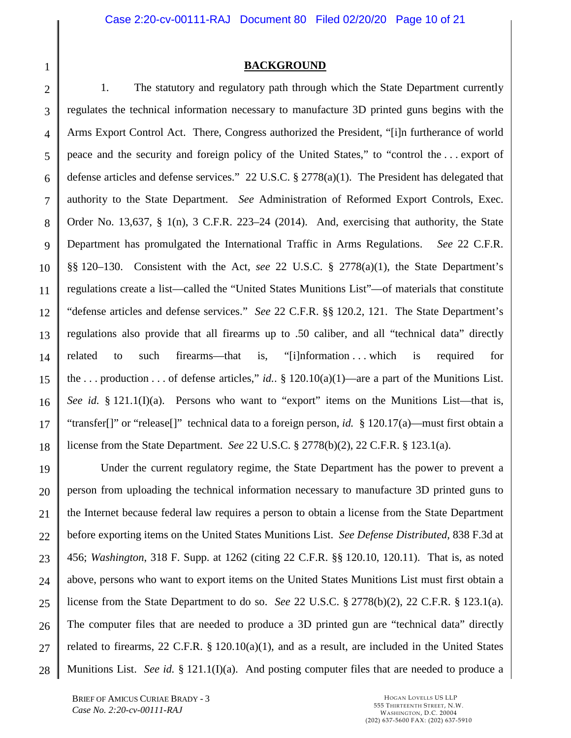1

## <span id="page-9-8"></span><span id="page-9-5"></span><span id="page-9-3"></span><span id="page-9-0"></span>**BACKGROUND**

2 3 4 5 6 7 8 9 10 11 12 13 14 15 16 17 18 1. The statutory and regulatory path through which the State Department currently regulates the technical information necessary to manufacture 3D printed guns begins with the Arms Export Control Act. There, Congress authorized the President, "[i]n furtherance of world peace and the security and foreign policy of the United States," to "control the . . . export of defense articles and defense services." 22 U.S.C. § 2778(a)(1). The President has delegated that authority to the State Department. *See* Administration of Reformed Export Controls, Exec. Order No. 13,637, § 1(n), 3 C.F.R. 223–24 (2014). And, exercising that authority, the State Department has promulgated the International Traffic in Arms Regulations. *See* 22 C.F.R. §§ 120–130. Consistent with the Act, *see* 22 U.S.C. § 2778(a)(1), the State Department's regulations create a list—called the "United States Munitions List"—of materials that constitute "defense articles and defense services." *See* 22 C.F.R. §§ 120.2, 121. The State Department's regulations also provide that all firearms up to .50 caliber, and all "technical data" directly related to such firearms—that is, "[i]nformation . . . which is required for the ... production ... of defense articles," *id.*. §  $120.10(a)(1)$ —are a part of the Munitions List. *See id.* § 121.1(I)(a). Persons who want to "export" items on the Munitions List—that is, "transfer[]" or "release[]" technical data to a foreign person, *id.* § 120.17(a)—must first obtain a license from the State Department. *See* 22 U.S.C. § 2778(b)(2), 22 C.F.R. § 123.1(a).

<span id="page-9-7"></span><span id="page-9-6"></span><span id="page-9-4"></span><span id="page-9-2"></span><span id="page-9-1"></span>19 20 21 22 23 24 25 26 27 28 Under the current regulatory regime, the State Department has the power to prevent a person from uploading the technical information necessary to manufacture 3D printed guns to the Internet because federal law requires a person to obtain a license from the State Department before exporting items on the United States Munitions List. *See Defense Distributed*, 838 F.3d at 456; *Washington*, 318 F. Supp. at 1262 (citing 22 C.F.R. §§ 120.10, 120.11). That is, as noted above, persons who want to export items on the United States Munitions List must first obtain a license from the State Department to do so. *See* 22 U.S.C. § 2778(b)(2), 22 C.F.R. § 123.1(a). The computer files that are needed to produce a 3D printed gun are "technical data" directly related to firearms, 22 C.F.R. § 120.10(a)(1), and as a result, are included in the United States Munitions List. *See id.* § 121.1(I)(a). And posting computer files that are needed to produce a

BRIEF OF AMICUS CURIAE BRADY - 3 *Case No. 2:20-cv-00111-RAJ*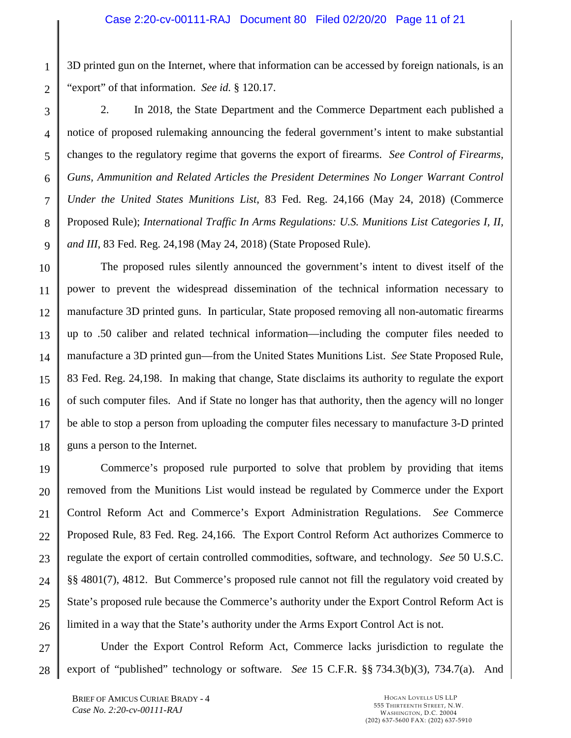1 2 3D printed gun on the Internet, where that information can be accessed by foreign nationals, is an "export" of that information. *See id.* § 120.17.

3 4 5 6 7 8 9 2. In 2018, the State Department and the Commerce Department each published a notice of proposed rulemaking announcing the federal government's intent to make substantial changes to the regulatory regime that governs the export of firearms. *See Control of Firearms, Guns, Ammunition and Related Articles the President Determines No Longer Warrant Control Under the United States Munitions List*, 83 Fed. Reg. 24,166 (May 24, 2018) (Commerce Proposed Rule); *International Traffic In Arms Regulations: U.S. Munitions List Categories I, II, and III*, 83 Fed. Reg. 24,198 (May 24, 2018) (State Proposed Rule).

<span id="page-10-2"></span>10 11 12 13 14 15 16 17 18 The proposed rules silently announced the government's intent to divest itself of the power to prevent the widespread dissemination of the technical information necessary to manufacture 3D printed guns. In particular, State proposed removing all non-automatic firearms up to .50 caliber and related technical information—including the computer files needed to manufacture a 3D printed gun—from the United States Munitions List. *See* State Proposed Rule, 83 Fed. Reg. 24,198. In making that change, State disclaims its authority to regulate the export of such computer files. And if State no longer has that authority, then the agency will no longer be able to stop a person from uploading the computer files necessary to manufacture 3-D printed guns a person to the Internet.

19 20 21 22 23 24 25 26 Commerce's proposed rule purported to solve that problem by providing that items removed from the Munitions List would instead be regulated by Commerce under the Export Control Reform Act and Commerce's Export Administration Regulations. *See* Commerce Proposed Rule, 83 Fed. Reg. 24,166. The Export Control Reform Act authorizes Commerce to regulate the export of certain controlled commodities, software, and technology. *See* 50 U.S.C. §§ 4801(7), 4812. But Commerce's proposed rule cannot not fill the regulatory void created by State's proposed rule because the Commerce's authority under the Export Control Reform Act is limited in a way that the State's authority under the Arms Export Control Act is not.

27 28 Under the Export Control Reform Act, Commerce lacks jurisdiction to regulate the export of "published" technology or software. *See* 15 C.F.R. §§ 734.3(b)(3), 734.7(a). And

<span id="page-10-1"></span><span id="page-10-0"></span>BRIEF OF AMICUS CURIAE BRADY - 4 *Case No. 2:20-cv-00111-RAJ*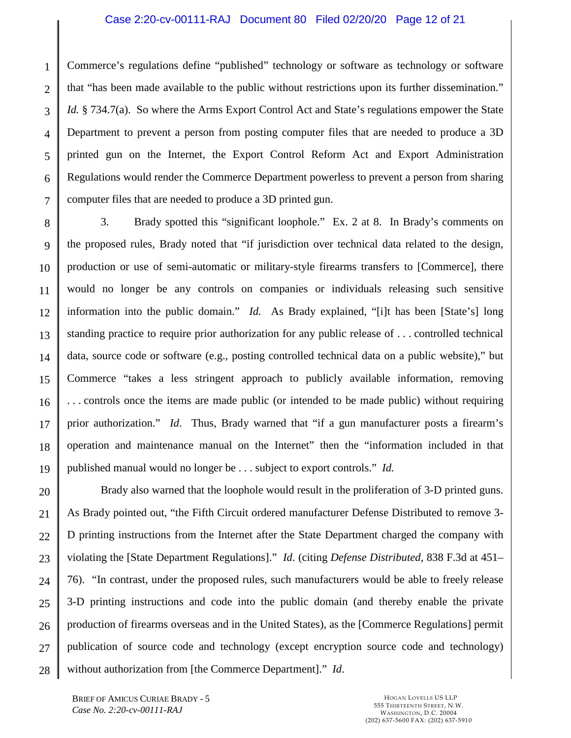## Case 2:20-cv-00111-RAJ Document 80 Filed 02/20/20 Page 12 of 21

1 2 3 4 5 6 7 Commerce's regulations define "published" technology or software as technology or software that "has been made available to the public without restrictions upon its further dissemination." *Id.* § 734.7(a). So where the Arms Export Control Act and State's regulations empower the State Department to prevent a person from posting computer files that are needed to produce a 3D printed gun on the Internet, the Export Control Reform Act and Export Administration Regulations would render the Commerce Department powerless to prevent a person from sharing computer files that are needed to produce a 3D printed gun.

8 9 10 11 12 13 14 15 16 17 18 19 3. Brady spotted this "significant loophole." Ex. 2 at 8. In Brady's comments on the proposed rules, Brady noted that "if jurisdiction over technical data related to the design, production or use of semi-automatic or military-style firearms transfers to [Commerce], there would no longer be any controls on companies or individuals releasing such sensitive information into the public domain." *Id.* As Brady explained, "[i]t has been [State's] long standing practice to require prior authorization for any public release of . . . controlled technical data, source code or software (e.g., posting controlled technical data on a public website)," but Commerce "takes a less stringent approach to publicly available information, removing . . . controls once the items are made public (or intended to be made public) without requiring prior authorization." *Id*. Thus, Brady warned that "if a gun manufacturer posts a firearm's operation and maintenance manual on the Internet" then the "information included in that published manual would no longer be . . . subject to export controls." *Id.*

20 21 22 23 24 25 26 27 28 Brady also warned that the loophole would result in the proliferation of 3-D printed guns. As Brady pointed out, "the Fifth Circuit ordered manufacturer Defense Distributed to remove 3- D printing instructions from the Internet after the State Department charged the company with violating the [State Department Regulations]." *Id*. (citing *Defense Distributed*, 838 F.3d at 451– 76). "In contrast, under the proposed rules, such manufacturers would be able to freely release 3-D printing instructions and code into the public domain (and thereby enable the private production of firearms overseas and in the United States), as the [Commerce Regulations] permit publication of source code and technology (except encryption source code and technology) without authorization from [the Commerce Department]." *Id*.

BRIEF OF AMICUS CURIAE BRADY - 5 *Case No. 2:20-cv-00111-RAJ*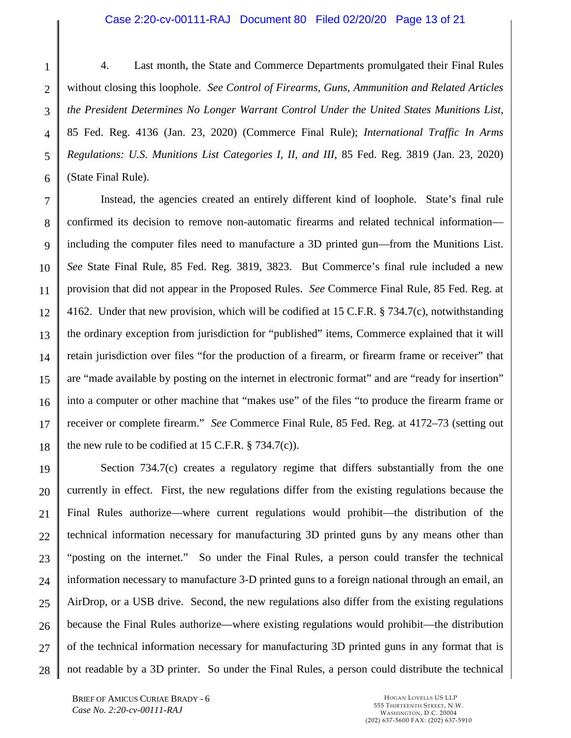#### <span id="page-12-0"></span>Case 2:20-cv-00111-RAJ Document 80 Filed 02/20/20 Page 13 of 21

1 2 3 4 5 6 4. Last month, the State and Commerce Departments promulgated their Final Rules without closing this loophole. *See Control of Firearms, Guns, Ammunition and Related Articles the President Determines No Longer Warrant Control Under the United States Munitions List*, 85 Fed. Reg. 4136 (Jan. 23, 2020) (Commerce Final Rule); *International Traffic In Arms Regulations: U.S. Munitions List Categories I, II, and III*, 85 Fed. Reg. 3819 (Jan. 23, 2020) (State Final Rule).

7 8 9 10 11 12 13 14 15 16 17 18 Instead, the agencies created an entirely different kind of loophole. State's final rule confirmed its decision to remove non-automatic firearms and related technical information including the computer files need to manufacture a 3D printed gun—from the Munitions List. *See* State Final Rule, 85 Fed. Reg. 3819, 3823. But Commerce's final rule included a new provision that did not appear in the Proposed Rules. *See* Commerce Final Rule, 85 Fed. Reg. at 4162. Under that new provision, which will be codified at 15 C.F.R. § 734.7(c), notwithstanding the ordinary exception from jurisdiction for "published" items, Commerce explained that it will retain jurisdiction over files "for the production of a firearm, or firearm frame or receiver" that are "made available by posting on the internet in electronic format" and are "ready for insertion" into a computer or other machine that "makes use" of the files "to produce the firearm frame or receiver or complete firearm." *See* Commerce Final Rule, 85 Fed. Reg. at 4172–73 (setting out the new rule to be codified at 15 C.F.R.  $\S$  734.7(c)).

19 20 21 22 23 24 25 26 27 28 Section 734.7(c) creates a regulatory regime that differs substantially from the one currently in effect. First, the new regulations differ from the existing regulations because the Final Rules authorize—where current regulations would prohibit—the distribution of the technical information necessary for manufacturing 3D printed guns by any means other than "posting on the internet." So under the Final Rules, a person could transfer the technical information necessary to manufacture 3-D printed guns to a foreign national through an email, an AirDrop, or a USB drive. Second, the new regulations also differ from the existing regulations because the Final Rules authorize—where existing regulations would prohibit—the distribution of the technical information necessary for manufacturing 3D printed guns in any format that is not readable by a 3D printer. So under the Final Rules, a person could distribute the technical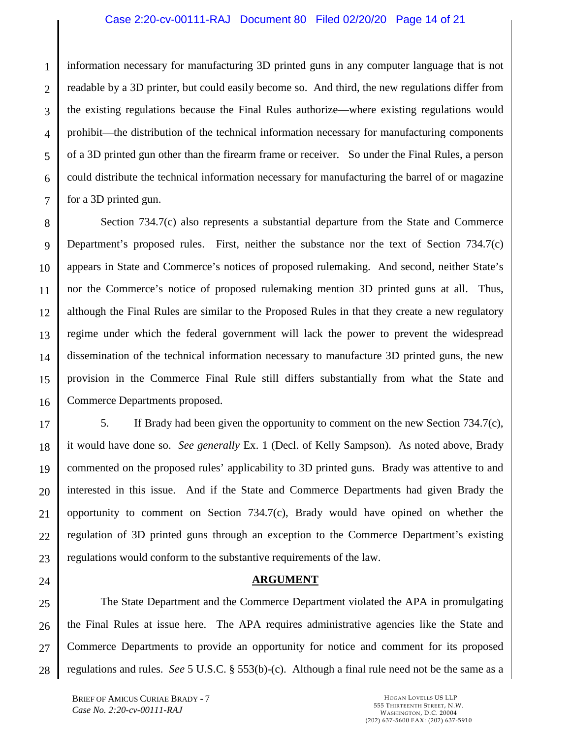## Case 2:20-cv-00111-RAJ Document 80 Filed 02/20/20 Page 14 of 21

1 2 3 4 5 6 7 information necessary for manufacturing 3D printed guns in any computer language that is not readable by a 3D printer, but could easily become so. And third, the new regulations differ from the existing regulations because the Final Rules authorize—where existing regulations would prohibit—the distribution of the technical information necessary for manufacturing components of a 3D printed gun other than the firearm frame or receiver. So under the Final Rules, a person could distribute the technical information necessary for manufacturing the barrel of or magazine for a 3D printed gun.

8 9 10 11 12 13 14 15 16 Section 734.7(c) also represents a substantial departure from the State and Commerce Department's proposed rules. First, neither the substance nor the text of Section 734.7(c) appears in State and Commerce's notices of proposed rulemaking. And second, neither State's nor the Commerce's notice of proposed rulemaking mention 3D printed guns at all. Thus, although the Final Rules are similar to the Proposed Rules in that they create a new regulatory regime under which the federal government will lack the power to prevent the widespread dissemination of the technical information necessary to manufacture 3D printed guns, the new provision in the Commerce Final Rule still differs substantially from what the State and Commerce Departments proposed.

17 18 19 20 21 22 23 5. If Brady had been given the opportunity to comment on the new Section 734.7(c), it would have done so. *See generally* Ex. 1 (Decl. of Kelly Sampson). As noted above, Brady commented on the proposed rules' applicability to 3D printed guns. Brady was attentive to and interested in this issue. And if the State and Commerce Departments had given Brady the opportunity to comment on Section  $734.7(c)$ , Brady would have opined on whether the regulation of 3D printed guns through an exception to the Commerce Department's existing regulations would conform to the substantive requirements of the law.

24

## <span id="page-13-0"></span>**ARGUMENT**

25 26 27 28 The State Department and the Commerce Department violated the APA in promulgating the Final Rules at issue here. The APA requires administrative agencies like the State and Commerce Departments to provide an opportunity for notice and comment for its proposed regulations and rules. *See* 5 U.S.C. § 553(b)-(c). Although a final rule need not be the same as a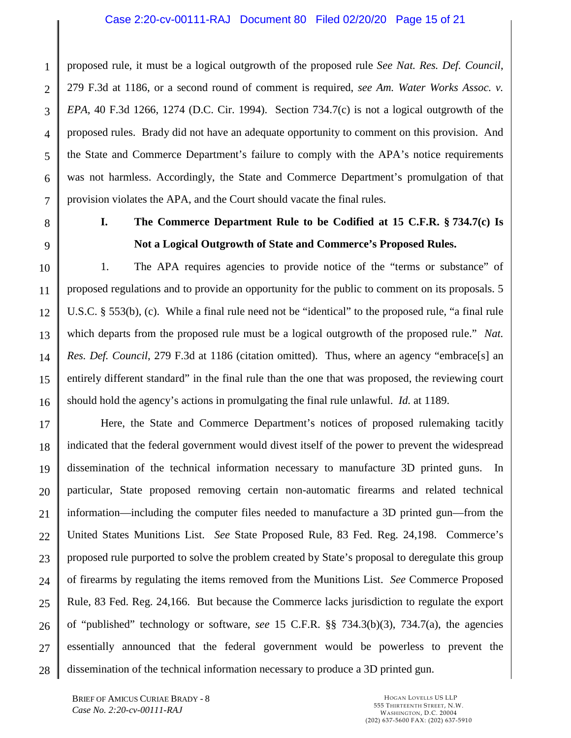## <span id="page-14-1"></span>Case 2:20-cv-00111-RAJ Document 80 Filed 02/20/20 Page 15 of 21

1 2 3 4 5 6 7 proposed rule, it must be a logical outgrowth of the proposed rule *See Nat. Res. Def. Council*, 279 F.3d at 1186, or a second round of comment is required, *see Am. Water Works Assoc. v. EPA*, 40 F.3d 1266, 1274 (D.C. Cir. 1994). Section 734.7(c) is not a logical outgrowth of the proposed rules. Brady did not have an adequate opportunity to comment on this provision. And the State and Commerce Department's failure to comply with the APA's notice requirements was not harmless. Accordingly, the State and Commerce Department's promulgation of that provision violates the APA, and the Court should vacate the final rules.

8

9

<span id="page-14-0"></span>**I. The Commerce Department Rule to be Codified at 15 C.F.R. § 734.7(c) Is Not a Logical Outgrowth of State and Commerce's Proposed Rules.** 

10 11 12 13 14 15 16 1. The APA requires agencies to provide notice of the "terms or substance" of proposed regulations and to provide an opportunity for the public to comment on its proposals. 5 U.S.C. § 553(b), (c). While a final rule need not be "identical" to the proposed rule, "a final rule which departs from the proposed rule must be a logical outgrowth of the proposed rule." *Nat. Res. Def. Council*, 279 F.3d at 1186 (citation omitted). Thus, where an agency "embrace[s] an entirely different standard" in the final rule than the one that was proposed, the reviewing court should hold the agency's actions in promulgating the final rule unlawful. *Id.* at 1189.

17 18 19 20 21 22 23 24 25 26 27 28 Here, the State and Commerce Department's notices of proposed rulemaking tacitly indicated that the federal government would divest itself of the power to prevent the widespread dissemination of the technical information necessary to manufacture 3D printed guns. In particular, State proposed removing certain non-automatic firearms and related technical information—including the computer files needed to manufacture a 3D printed gun—from the United States Munitions List. *See* State Proposed Rule, 83 Fed. Reg. 24,198. Commerce's proposed rule purported to solve the problem created by State's proposal to deregulate this group of firearms by regulating the items removed from the Munitions List. *See* Commerce Proposed Rule, 83 Fed. Reg. 24,166. But because the Commerce lacks jurisdiction to regulate the export of "published" technology or software, *see* 15 C.F.R. §§ 734.3(b)(3), 734.7(a), the agencies essentially announced that the federal government would be powerless to prevent the dissemination of the technical information necessary to produce a 3D printed gun.

<span id="page-14-2"></span>BRIEF OF AMICUS CURIAE BRADY - 8 *Case No. 2:20-cv-00111-RAJ*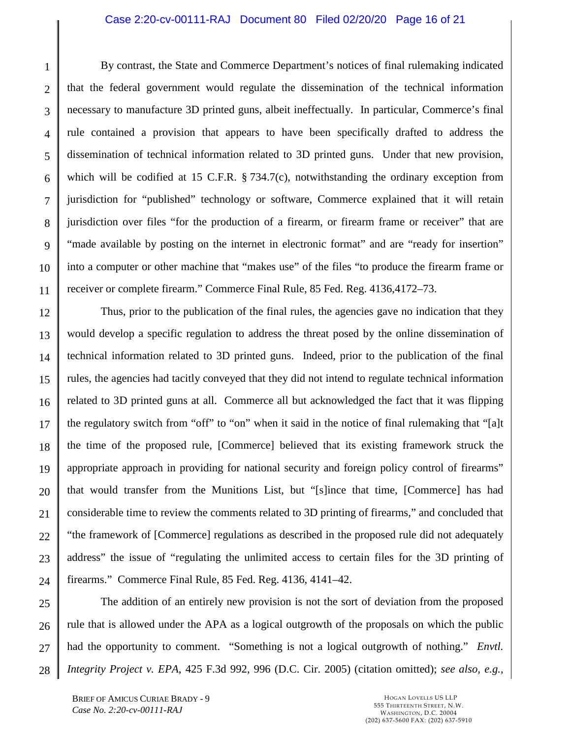### Case 2:20-cv-00111-RAJ Document 80 Filed 02/20/20 Page 16 of 21

1 2 3 4 5 6 7 8 9 10 11 By contrast, the State and Commerce Department's notices of final rulemaking indicated that the federal government would regulate the dissemination of the technical information necessary to manufacture 3D printed guns, albeit ineffectually. In particular, Commerce's final rule contained a provision that appears to have been specifically drafted to address the dissemination of technical information related to 3D printed guns. Under that new provision, which will be codified at 15 C.F.R. § 734.7(c), notwithstanding the ordinary exception from jurisdiction for "published" technology or software, Commerce explained that it will retain jurisdiction over files "for the production of a firearm, or firearm frame or receiver" that are "made available by posting on the internet in electronic format" and are "ready for insertion" into a computer or other machine that "makes use" of the files "to produce the firearm frame or receiver or complete firearm." Commerce Final Rule, 85 Fed. Reg. 4136,4172–73.

12 13 14 15 16 17 18 19 20 21 22 23 24 Thus, prior to the publication of the final rules, the agencies gave no indication that they would develop a specific regulation to address the threat posed by the online dissemination of technical information related to 3D printed guns. Indeed, prior to the publication of the final rules, the agencies had tacitly conveyed that they did not intend to regulate technical information related to 3D printed guns at all. Commerce all but acknowledged the fact that it was flipping the regulatory switch from "off" to "on" when it said in the notice of final rulemaking that "[a]t the time of the proposed rule, [Commerce] believed that its existing framework struck the appropriate approach in providing for national security and foreign policy control of firearms" that would transfer from the Munitions List, but "[s]ince that time, [Commerce] has had considerable time to review the comments related to 3D printing of firearms," and concluded that "the framework of [Commerce] regulations as described in the proposed rule did not adequately address" the issue of "regulating the unlimited access to certain files for the 3D printing of firearms." Commerce Final Rule, 85 Fed. Reg. 4136, 4141–42.

<span id="page-15-0"></span>25 26 27 28 The addition of an entirely new provision is not the sort of deviation from the proposed rule that is allowed under the APA as a logical outgrowth of the proposals on which the public had the opportunity to comment. "Something is not a logical outgrowth of nothing." *Envtl. Integrity Project v. EPA*, 425 F.3d 992, 996 (D.C. Cir. 2005) (citation omitted); *see also, e.g.*,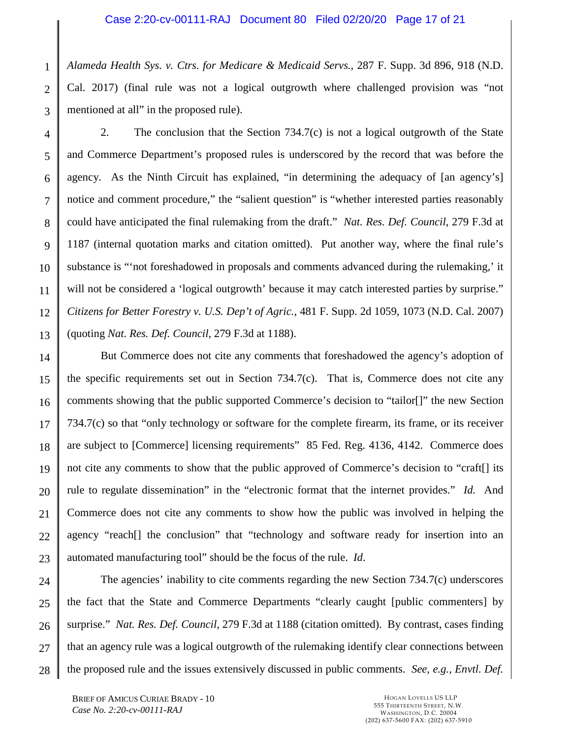## Case 2:20-cv-00111-RAJ Document 80 Filed 02/20/20 Page 17 of 21

<span id="page-16-0"></span>1 2 3 *Alameda Health Sys. v. Ctrs. for Medicare & Medicaid Servs.*, 287 F. Supp. 3d 896, 918 (N.D. Cal. 2017) (final rule was not a logical outgrowth where challenged provision was "not mentioned at all" in the proposed rule).

4 5 6 7 8 9 10 11 12 13 2. The conclusion that the Section 734.7(c) is not a logical outgrowth of the State and Commerce Department's proposed rules is underscored by the record that was before the agency. As the Ninth Circuit has explained, "in determining the adequacy of [an agency's] notice and comment procedure," the "salient question" is "whether interested parties reasonably could have anticipated the final rulemaking from the draft." *Nat. Res. Def. Council*, 279 F.3d at 1187 (internal quotation marks and citation omitted). Put another way, where the final rule's substance is "'not foreshadowed in proposals and comments advanced during the rulemaking,' it will not be considered a 'logical outgrowth' because it may catch interested parties by surprise." *Citizens for Better Forestry v. U.S. Dep't of Agric.*, 481 F. Supp. 2d 1059, 1073 (N.D. Cal. 2007) (quoting *Nat. Res. Def. Council*, 279 F.3d at 1188).

<span id="page-16-1"></span>14 15 16 17 18 19 20 21 22 23 But Commerce does not cite any comments that foreshadowed the agency's adoption of the specific requirements set out in Section 734.7(c). That is, Commerce does not cite any comments showing that the public supported Commerce's decision to "tailor[]" the new Section 734.7(c) so that "only technology or software for the complete firearm, its frame, or its receiver are subject to [Commerce] licensing requirements" 85 Fed. Reg. 4136, 4142. Commerce does not cite any comments to show that the public approved of Commerce's decision to "craft[] its rule to regulate dissemination" in the "electronic format that the internet provides." *Id.* And Commerce does not cite any comments to show how the public was involved in helping the agency "reach[] the conclusion" that "technology and software ready for insertion into an automated manufacturing tool" should be the focus of the rule. *Id*.

<span id="page-16-2"></span>24 25 26 27 28 The agencies' inability to cite comments regarding the new Section 734.7(c) underscores the fact that the State and Commerce Departments "clearly caught [public commenters] by surprise." *Nat. Res. Def. Council*, 279 F.3d at 1188 (citation omitted). By contrast, cases finding that an agency rule was a logical outgrowth of the rulemaking identify clear connections between the proposed rule and the issues extensively discussed in public comments. *See, e.g.*, *Envtl. Def.*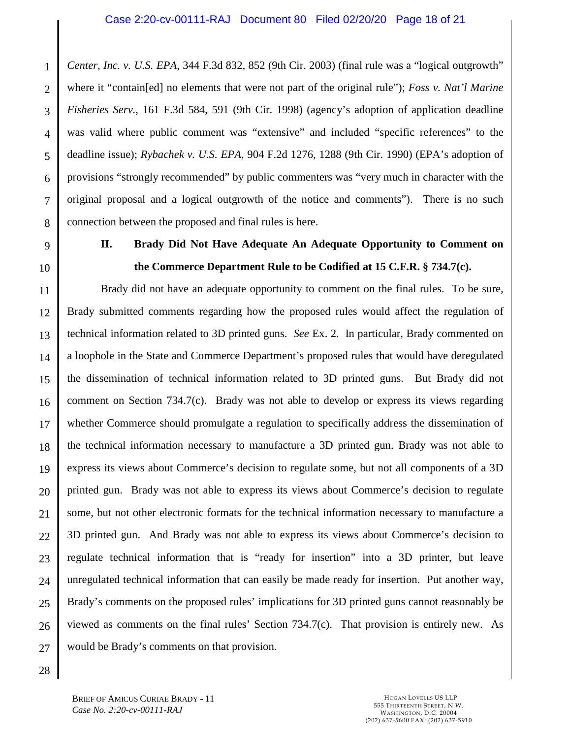1 2 3 4 5 6 7 8 *Center, Inc. v. U.S. EPA*, 344 F.3d 832, 852 (9th Cir. 2003) (final rule was a "logical outgrowth" where it "contain[ed] no elements that were not part of the original rule"); *Foss v. Nat'l Marine Fisheries Serv.*, 161 F.3d 584, 591 (9th Cir. 1998) (agency's adoption of application deadline was valid where public comment was "extensive" and included "specific references" to the deadline issue); *Rybachek v. U.S. EPA*, 904 F.2d 1276, 1288 (9th Cir. 1990) (EPA's adoption of provisions "strongly recommended" by public commenters was "very much in character with the original proposal and a logical outgrowth of the notice and comments"). There is no such connection between the proposed and final rules is here.

9

10

# <span id="page-17-2"></span><span id="page-17-1"></span><span id="page-17-0"></span>**II. Brady Did Not Have Adequate An Adequate Opportunity to Comment on the Commerce Department Rule to be Codified at 15 C.F.R. § 734.7(c).**

11 12 13 14 15 16 17 18 19 20 21 22 23 24 25 26 27 Brady did not have an adequate opportunity to comment on the final rules. To be sure, Brady submitted comments regarding how the proposed rules would affect the regulation of technical information related to 3D printed guns. *See* Ex. 2. In particular, Brady commented on a loophole in the State and Commerce Department's proposed rules that would have deregulated the dissemination of technical information related to 3D printed guns. But Brady did not comment on Section 734.7(c). Brady was not able to develop or express its views regarding whether Commerce should promulgate a regulation to specifically address the dissemination of the technical information necessary to manufacture a 3D printed gun. Brady was not able to express its views about Commerce's decision to regulate some, but not all components of a 3D printed gun. Brady was not able to express its views about Commerce's decision to regulate some, but not other electronic formats for the technical information necessary to manufacture a 3D printed gun. And Brady was not able to express its views about Commerce's decision to regulate technical information that is "ready for insertion" into a 3D printer, but leave unregulated technical information that can easily be made ready for insertion. Put another way, Brady's comments on the proposed rules' implications for 3D printed guns cannot reasonably be viewed as comments on the final rules' Section 734.7(c). That provision is entirely new. As would be Brady's comments on that provision.

28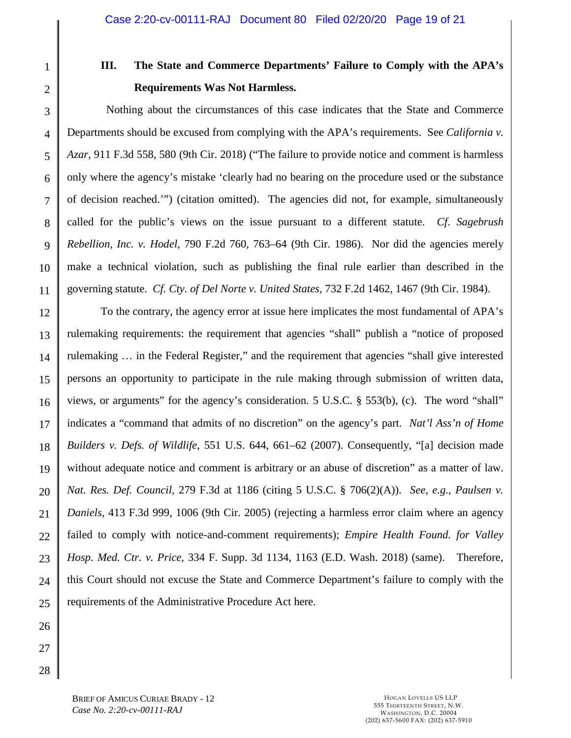1 2

# <span id="page-18-6"></span><span id="page-18-1"></span><span id="page-18-0"></span>**III. The State and Commerce Departments' Failure to Comply with the APA's Requirements Was Not Harmless.**

3 4 5 6 7 8 9 10 11 Nothing about the circumstances of this case indicates that the State and Commerce Departments should be excused from complying with the APA's requirements. See *California v. Azar*, 911 F.3d 558, 580 (9th Cir. 2018) ("The failure to provide notice and comment is harmless only where the agency's mistake 'clearly had no bearing on the procedure used or the substance of decision reached.'") (citation omitted). The agencies did not, for example, simultaneously called for the public's views on the issue pursuant to a different statute. *Cf*. *Sagebrush Rebellion, Inc. v. Hodel*, 790 F.2d 760, 763–64 (9th Cir. 1986). Nor did the agencies merely make a technical violation, such as publishing the final rule earlier than described in the governing statute. *Cf. Cty. of Del Norte v. United States*, 732 F.2d 1462, 1467 (9th Cir. 1984).

<span id="page-18-4"></span><span id="page-18-2"></span>12 13 14 15 16 17 18 19 20 21 22 23 24 25 To the contrary, the agency error at issue here implicates the most fundamental of APA's rulemaking requirements: the requirement that agencies "shall" publish a "notice of proposed rulemaking … in the Federal Register," and the requirement that agencies "shall give interested persons an opportunity to participate in the rule making through submission of written data, views, or arguments" for the agency's consideration. 5 U.S.C. § 553(b), (c). The word "shall" indicates a "command that admits of no discretion" on the agency's part. *Nat'l Ass'n of Home Builders v. Defs. of Wildlife*, 551 U.S. 644, 661–62 (2007). Consequently, "[a] decision made without adequate notice and comment is arbitrary or an abuse of discretion" as a matter of law. *Nat. Res. Def. Council*, 279 F.3d at 1186 (citing 5 U.S.C. § 706(2)(A)). *See, e.g.*, *Paulsen v. Daniels*, 413 F.3d 999, 1006 (9th Cir. 2005) (rejecting a harmless error claim where an agency failed to comply with notice-and-comment requirements); *Empire Health Found. for Valley Hosp. Med. Ctr. v. Price*, 334 F. Supp. 3d 1134, 1163 (E.D. Wash. 2018) (same). Therefore, this Court should not excuse the State and Commerce Department's failure to comply with the requirements of the Administrative Procedure Act here.

<span id="page-18-5"></span><span id="page-18-3"></span>26 27 28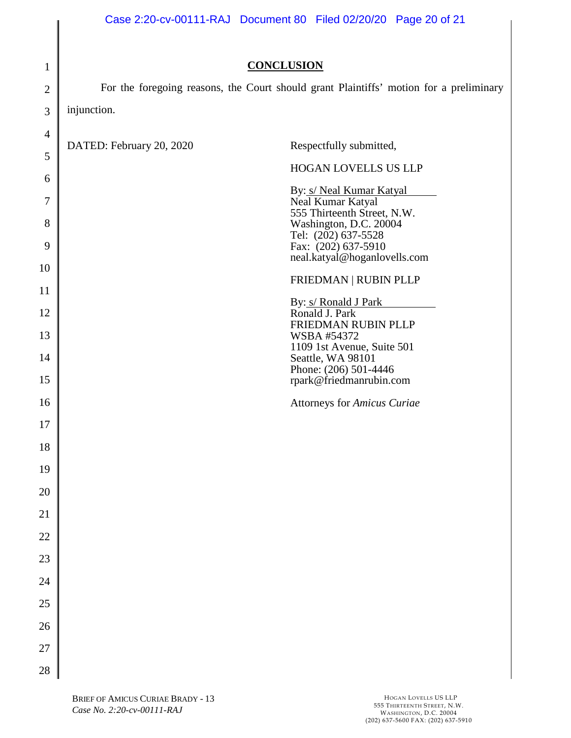| $\mathbf{1}$   | <b>CONCLUSION</b>                                                                      |  |  |  |
|----------------|----------------------------------------------------------------------------------------|--|--|--|
| $\overline{2}$ | For the foregoing reasons, the Court should grant Plaintiffs' motion for a preliminary |  |  |  |
| 3              | injunction.                                                                            |  |  |  |
| $\overline{4}$ |                                                                                        |  |  |  |
| 5              | DATED: February 20, 2020<br>Respectfully submitted,                                    |  |  |  |
| 6              | HOGAN LOVELLS US LLP                                                                   |  |  |  |
| 7              | By: s/ Neal Kumar Katyal                                                               |  |  |  |
|                | Neal Kumar Katyal<br>555 Thirteenth Street, N.W.                                       |  |  |  |
| 8              | Washington, D.C. 20004<br>Tel: (202) 637-5528                                          |  |  |  |
| 9              | Fax: (202) 637-5910<br>neal.katyal@hoganlovells.com                                    |  |  |  |
| 10             | FRIEDMAN   RUBIN PLLP                                                                  |  |  |  |
| 11             | By: s/ Ronald J Park                                                                   |  |  |  |
| 12             | Ronald J. Park<br>FRIEDMAN RUBIN PLLP                                                  |  |  |  |
| 13             | <b>WSBA #54372</b><br>1109 1st Avenue, Suite 501                                       |  |  |  |
| 14             | Seattle, WA 98101<br>Phone: (206) 501-4446                                             |  |  |  |
| 15             | rpark@friedmanrubin.com                                                                |  |  |  |
| 16             | <b>Attorneys for Amicus Curiae</b>                                                     |  |  |  |
| 17             |                                                                                        |  |  |  |
| 18             |                                                                                        |  |  |  |
| 19             |                                                                                        |  |  |  |
| 20             |                                                                                        |  |  |  |
| 21             |                                                                                        |  |  |  |
| 22             |                                                                                        |  |  |  |
| 23             |                                                                                        |  |  |  |
| 24             |                                                                                        |  |  |  |
| 25             |                                                                                        |  |  |  |
| 26             |                                                                                        |  |  |  |
| 27             |                                                                                        |  |  |  |
| 28             |                                                                                        |  |  |  |

<span id="page-19-0"></span>║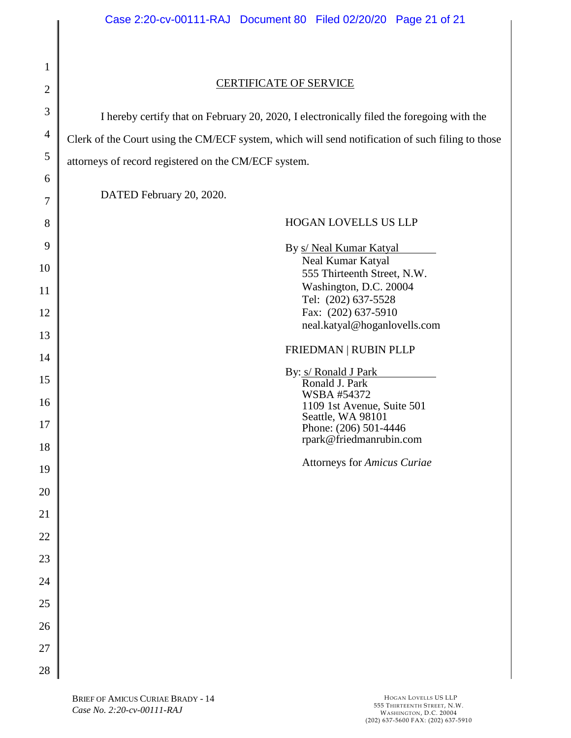# 2 3 4 5 6 7 8 9 10 11 12 13 14 15 16 17 18 19 20 21 22 23 24 25 26 27 28

1

# CERTIFICATE OF SERVICE

I hereby certify that on February 20, 2020, I electronically filed the foregoing with the Clerk of the Court using the CM/ECF system, which will send notification of such filing to those attorneys of record registered on the CM/ECF system.

DATED February 20, 2020.

# HOGAN LOVELLS US LLP By s/ Neal Kumar Katyal Neal Kumar Katyal 555 Thirteenth Street, N.W. Washington, D.C. 20004 Tel: (202) 637-5528 Fax: (202) 637-5910 neal.katyal@hoganlovells.com FRIEDMAN | RUBIN PLLP By: s/ Ronald J Park Ronald J. Park WSBA #54372 1109 1st Avenue, Suite 501 Seattle, WA 98101 Phone: (206) 501-4446 rpark@friedmanrubin.com

Attorneys for *Amicus Curiae*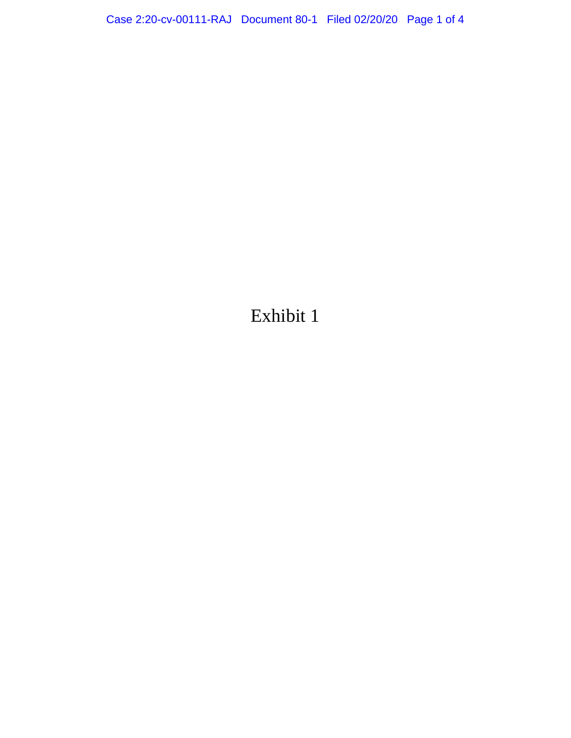Exhibit 1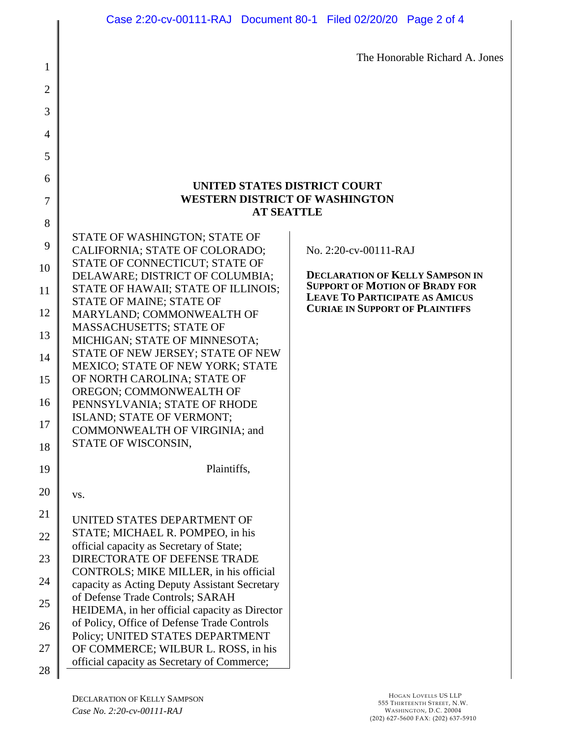The Honorable Richard A. Jones

# **UNITED STATES DISTRICT COURT WESTERN DISTRICT OF WASHINGTON AT SEATTLE**

| 8  |                                                                                                                        |
|----|------------------------------------------------------------------------------------------------------------------------|
| 9  | STATE OF WASHINGTON; STATE OF<br>CALIFORNIA; STATE OF COLORADO;                                                        |
| 10 | STATE OF CONNECTICUT; STATE OF<br>DELAWARE; DISTRICT OF COLUMBIA;                                                      |
| 11 | STATE OF HAWAII; STATE OF ILLINOIS;                                                                                    |
| 12 | STATE OF MAINE; STATE OF<br>MARYLAND; COMMONWEALTH OF                                                                  |
| 13 | MASSACHUSETTS; STATE OF<br>MICHIGAN; STATE OF MINNESOTA;                                                               |
| 14 | STATE OF NEW JERSEY; STATE OF NEW<br><b>MEXICO; STATE OF NEW YORK; STATE</b>                                           |
| 15 | OF NORTH CAROLINA; STATE OF                                                                                            |
| 16 | OREGON; COMMONWEALTH OF<br>PENNSYLVANIA; STATE OF RHODE                                                                |
| 17 | ISLAND; STATE OF VERMONT;<br>COMMONWEALTH OF VIRGINIA; and                                                             |
|    | STATE OF WISCONSIN,                                                                                                    |
| 18 |                                                                                                                        |
| 19 | Plaintiffs,                                                                                                            |
| 20 | VS.                                                                                                                    |
| 21 | UNITED STATES DEPARTMENT OF                                                                                            |
| 22 | STATE; MICHAEL R. POMPEO, in his                                                                                       |
| 23 | official capacity as Secretary of State;<br><b>DIRECTORATE OF DEFENSE TRADE</b>                                        |
| 24 | CONTROLS; MIKE MILLER, in his official<br>capacity as Acting Deputy Assistant Secretary                                |
| 25 | of Defense Trade Controls; SARAH                                                                                       |
| 26 | HEIDEMA, in her official capacity as Director<br>of Policy, Office of Defense Trade Controls                           |
| 27 | Policy; UNITED STATES DEPARTMENT<br>OF COMMERCE; WILBUR L. ROSS, in his<br>official capacity as Secretary of Commerce; |

1

2

3

4

5

6

7  $\sim$ 

No. 2:20-cv-00111-RAJ

**DECLARATION OF KELLY SAMPSON IN SUPPORT OF MOTION OF BRADY FOR LEAVE TO PARTICIPATE AS AMICUS CURIAE IN SUPPORT OF PLAINTIFFS**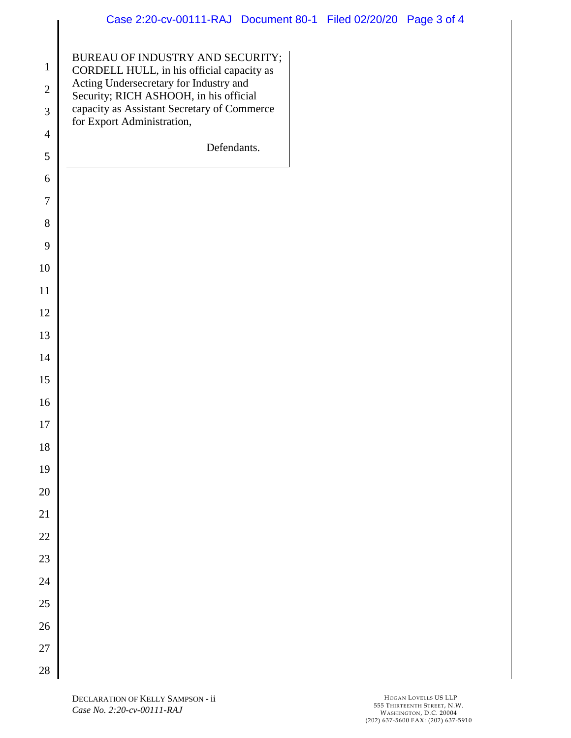| $\mathbf{1}$   | BUREAU OF INDUSTRY AND SECURITY;<br>CORDELL HULL, in his official capacity as    |
|----------------|----------------------------------------------------------------------------------|
| $\overline{c}$ | Acting Undersecretary for Industry and<br>Security; RICH ASHOOH, in his official |
| 3              | capacity as Assistant Secretary of Commerce                                      |
| $\overline{4}$ | for Export Administration,                                                       |
| 5              | Defendants.                                                                      |
| 6              |                                                                                  |
| $\overline{7}$ |                                                                                  |
| 8              |                                                                                  |
| 9              |                                                                                  |
| 10             |                                                                                  |
| 11             |                                                                                  |
| 12             |                                                                                  |
| 13             |                                                                                  |
| 14             |                                                                                  |
| 15             |                                                                                  |
| 16             |                                                                                  |
| 17             |                                                                                  |
| 18             |                                                                                  |
| 19             |                                                                                  |
| 20             |                                                                                  |
| 21             |                                                                                  |
| 22             |                                                                                  |
| 23             |                                                                                  |
| 24             |                                                                                  |
| 25             |                                                                                  |
| 26             |                                                                                  |
| 27             |                                                                                  |
| 28             |                                                                                  |

 $\parallel$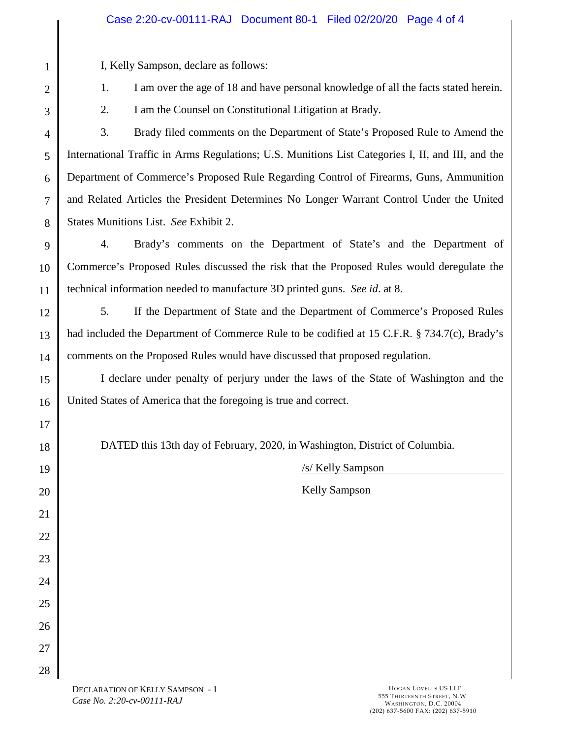# Case 2:20-cv-00111-RAJ Document 80-1 Filed 02/20/20 Page 4 of 4

I, Kelly Sampson, declare as follows:

- 1. I am over the age of 18 and have personal knowledge of all the facts stated herein.
- 2. I am the Counsel on Constitutional Litigation at Brady.

4 5 6 7 8 3. Brady filed comments on the Department of State's Proposed Rule to Amend the International Traffic in Arms Regulations; U.S. Munitions List Categories I, II, and III, and the Department of Commerce's Proposed Rule Regarding Control of Firearms, Guns, Ammunition and Related Articles the President Determines No Longer Warrant Control Under the United States Munitions List. *See* Exhibit 2.

9 10 11 4. Brady's comments on the Department of State's and the Department of Commerce's Proposed Rules discussed the risk that the Proposed Rules would deregulate the technical information needed to manufacture 3D printed guns. *See id*. at 8.

12

13

14

17

18

19

20

21

22

23

24

25

26

27

28

1

2

3

5. If the Department of State and the Department of Commerce's Proposed Rules had included the Department of Commerce Rule to be codified at 15 C.F.R. § 734.7(c), Brady's comments on the Proposed Rules would have discussed that proposed regulation.

15 16 I declare under penalty of perjury under the laws of the State of Washington and the United States of America that the foregoing is true and correct.

DATED this 13th day of February, 2020, in Washington, District of Columbia.

/s/ Kelly Sampson

Kelly Sampson

DECLARATION OF KELLY SAMPSON - 1 *Case No. 2:20-cv-00111-RAJ*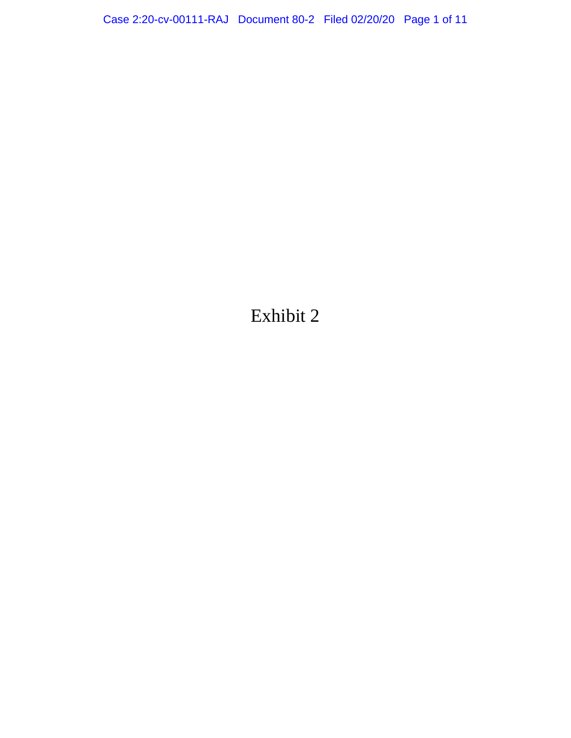Exhibit 2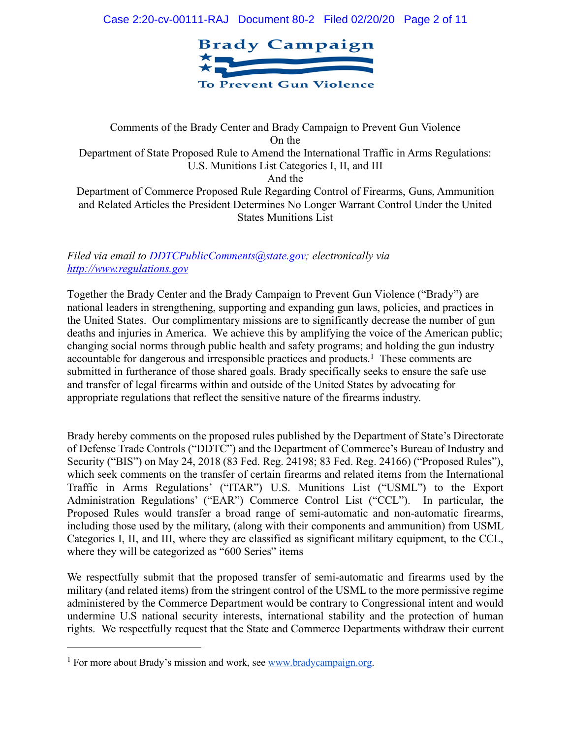

Comments of the Brady Center and Brady Campaign to Prevent Gun Violence On the Department of State Proposed Rule to Amend the International Traffic in Arms Regulations: U.S. Munitions List Categories I, II, and III And the Department of Commerce Proposed Rule Regarding Control of Firearms, Guns, Ammunition and Related Articles the President Determines No Longer Warrant Control Under the United States Munitions List

*Filed via email to DDTCPublicComments@state.gov; electronically via http://www.regulations.gov* 

Together the Brady Center and the Brady Campaign to Prevent Gun Violence ("Brady") are national leaders in strengthening, supporting and expanding gun laws, policies, and practices in the United States. Our complimentary missions are to significantly decrease the number of gun deaths and injuries in America. We achieve this by amplifying the voice of the American public; changing social norms through public health and safety programs; and holding the gun industry accountable for dangerous and irresponsible practices and products.<sup>1</sup> These comments are submitted in furtherance of those shared goals. Brady specifically seeks to ensure the safe use and transfer of legal firearms within and outside of the United States by advocating for appropriate regulations that reflect the sensitive nature of the firearms industry.

Brady hereby comments on the proposed rules published by the Department of State's Directorate of Defense Trade Controls ("DDTC") and the Department of Commerce's Bureau of Industry and Security ("BIS") on May 24, 2018 (83 Fed. Reg. 24198; 83 Fed. Reg. 24166) ("Proposed Rules"), which seek comments on the transfer of certain firearms and related items from the International Traffic in Arms Regulations' ("ITAR") U.S. Munitions List ("USML") to the Export Administration Regulations' ("EAR") Commerce Control List ("CCL"). In particular, the Proposed Rules would transfer a broad range of semi-automatic and non-automatic firearms, including those used by the military, (along with their components and ammunition) from USML Categories I, II, and III, where they are classified as significant military equipment, to the CCL, where they will be categorized as "600 Series" items

We respectfully submit that the proposed transfer of semi-automatic and firearms used by the military (and related items) from the stringent control of the USML to the more permissive regime administered by the Commerce Department would be contrary to Congressional intent and would undermine U.S national security interests, international stability and the protection of human rights. We respectfully request that the State and Commerce Departments withdraw their current

 $\overline{a}$ 

<sup>&</sup>lt;sup>1</sup> For more about Brady's mission and work, see www.bradycampaign.org.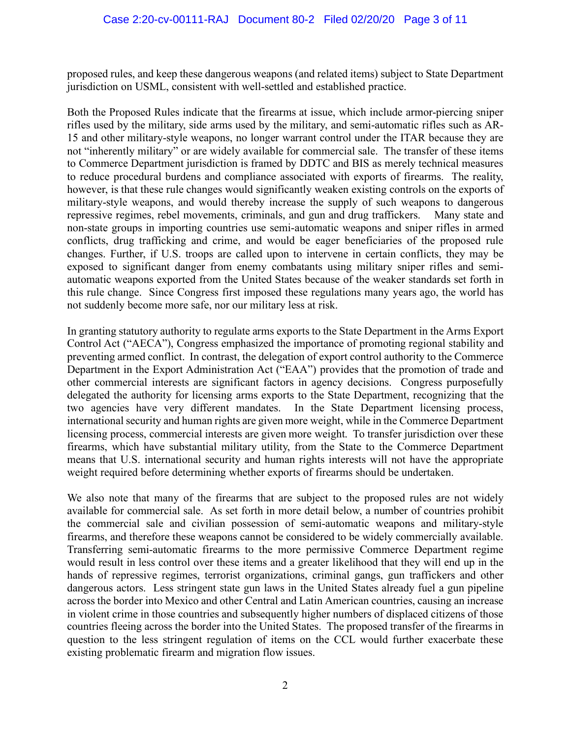proposed rules, and keep these dangerous weapons (and related items) subject to State Department jurisdiction on USML, consistent with well-settled and established practice.

Both the Proposed Rules indicate that the firearms at issue, which include armor-piercing sniper rifles used by the military, side arms used by the military, and semi-automatic rifles such as AR-15 and other military-style weapons, no longer warrant control under the ITAR because they are not "inherently military" or are widely available for commercial sale. The transfer of these items to Commerce Department jurisdiction is framed by DDTC and BIS as merely technical measures to reduce procedural burdens and compliance associated with exports of firearms. The reality, however, is that these rule changes would significantly weaken existing controls on the exports of military-style weapons, and would thereby increase the supply of such weapons to dangerous repressive regimes, rebel movements, criminals, and gun and drug traffickers. Many state and non-state groups in importing countries use semi-automatic weapons and sniper rifles in armed conflicts, drug trafficking and crime, and would be eager beneficiaries of the proposed rule changes. Further, if U.S. troops are called upon to intervene in certain conflicts, they may be exposed to significant danger from enemy combatants using military sniper rifles and semiautomatic weapons exported from the United States because of the weaker standards set forth in this rule change. Since Congress first imposed these regulations many years ago, the world has not suddenly become more safe, nor our military less at risk.

In granting statutory authority to regulate arms exports to the State Department in the Arms Export Control Act ("AECA"), Congress emphasized the importance of promoting regional stability and preventing armed conflict. In contrast, the delegation of export control authority to the Commerce Department in the Export Administration Act ("EAA") provides that the promotion of trade and other commercial interests are significant factors in agency decisions. Congress purposefully delegated the authority for licensing arms exports to the State Department, recognizing that the two agencies have very different mandates. In the State Department licensing process, international security and human rights are given more weight, while in the Commerce Department licensing process, commercial interests are given more weight. To transfer jurisdiction over these firearms, which have substantial military utility, from the State to the Commerce Department means that U.S. international security and human rights interests will not have the appropriate weight required before determining whether exports of firearms should be undertaken.

We also note that many of the firearms that are subject to the proposed rules are not widely available for commercial sale. As set forth in more detail below, a number of countries prohibit the commercial sale and civilian possession of semi-automatic weapons and military-style firearms, and therefore these weapons cannot be considered to be widely commercially available. Transferring semi-automatic firearms to the more permissive Commerce Department regime would result in less control over these items and a greater likelihood that they will end up in the hands of repressive regimes, terrorist organizations, criminal gangs, gun traffickers and other dangerous actors. Less stringent state gun laws in the United States already fuel a gun pipeline across the border into Mexico and other Central and Latin American countries, causing an increase in violent crime in those countries and subsequently higher numbers of displaced citizens of those countries fleeing across the border into the United States. The proposed transfer of the firearms in question to the less stringent regulation of items on the CCL would further exacerbate these existing problematic firearm and migration flow issues.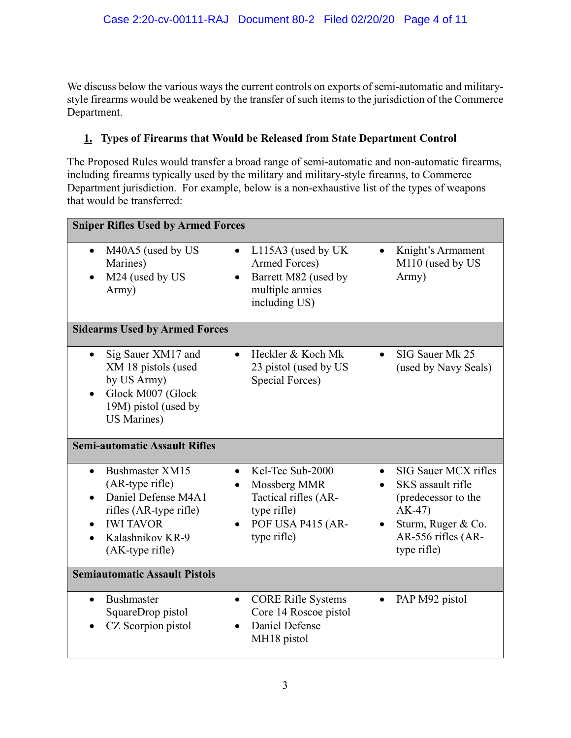We discuss below the various ways the current controls on exports of semi-automatic and militarystyle firearms would be weakened by the transfer of such items to the jurisdiction of the Commerce Department.

# **1. Types of Firearms that Would be Released from State Department Control**

The Proposed Rules would transfer a broad range of semi-automatic and non-automatic firearms, including firearms typically used by the military and military-style firearms, to Commerce Department jurisdiction. For example, below is a non-exhaustive list of the types of weapons that would be transferred:

| <b>Sniper Rifles Used by Armed Forces</b>                                                                                                      |                                                                                                                  |                                                                                                                                        |  |  |  |  |
|------------------------------------------------------------------------------------------------------------------------------------------------|------------------------------------------------------------------------------------------------------------------|----------------------------------------------------------------------------------------------------------------------------------------|--|--|--|--|
| M40A5 (used by US<br>$\bullet$<br>Marines)<br>M24 (used by US<br>Army)                                                                         | L115A3 (used by UK<br>$\bullet$<br>Armed Forces)<br>Barrett M82 (used by<br>multiple armies<br>including US)     | Knight's Armament<br>$\bullet$<br>M110 (used by US<br>Army)                                                                            |  |  |  |  |
| <b>Sidearms Used by Armed Forces</b>                                                                                                           |                                                                                                                  |                                                                                                                                        |  |  |  |  |
| Sig Sauer XM17 and<br>XM 18 pistols (used<br>by US Army)<br>Glock M007 (Glock<br>19M) pistol (used by<br><b>US Marines)</b>                    | Heckler & Koch Mk<br>23 pistol (used by US<br>Special Forces)                                                    | SIG Sauer Mk 25<br>(used by Navy Seals)                                                                                                |  |  |  |  |
| <b>Semi-automatic Assault Rifles</b>                                                                                                           |                                                                                                                  |                                                                                                                                        |  |  |  |  |
| Bushmaster XM15<br>(AR-type rifle)<br>Daniel Defense M4A1<br>rifles (AR-type rifle)<br><b>IWI TAVOR</b><br>Kalashnikov KR-9<br>(AK-type rifle) | Kel-Tec Sub-2000<br>Mossberg MMR<br>٠<br>Tactical rifles (AR-<br>type rifle)<br>POF USA P415 (AR-<br>type rifle) | SIG Sauer MCX rifles<br>SKS assault rifle<br>(predecessor to the<br>$AK-47$<br>Sturm, Ruger & Co.<br>AR-556 rifles (AR-<br>type rifle) |  |  |  |  |
| <b>Semiautomatic Assault Pistols</b>                                                                                                           |                                                                                                                  |                                                                                                                                        |  |  |  |  |
| <b>Bushmaster</b><br>SquareDrop pistol<br>CZ Scorpion pistol                                                                                   | <b>CORE Rifle Systems</b><br>$\bullet$<br>Core 14 Roscoe pistol<br>Daniel Defense<br>$\bullet$<br>MH18 pistol    | PAP M92 pistol                                                                                                                         |  |  |  |  |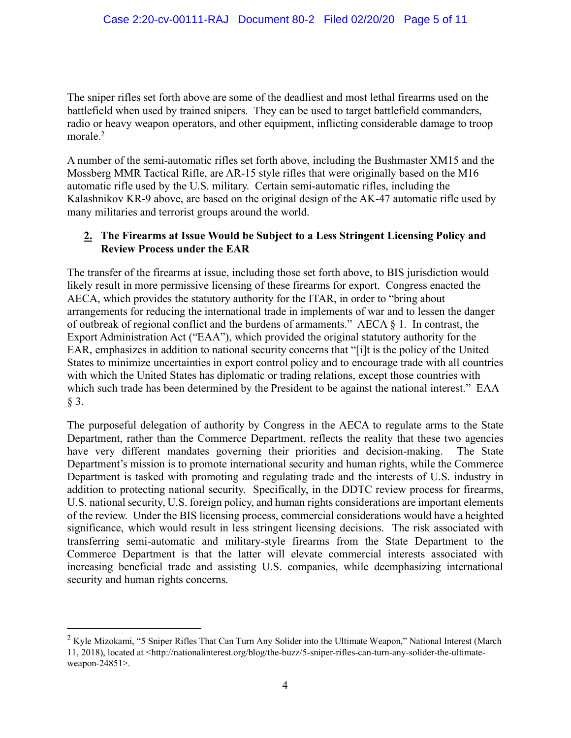The sniper rifles set forth above are some of the deadliest and most lethal firearms used on the battlefield when used by trained snipers. They can be used to target battlefield commanders, radio or heavy weapon operators, and other equipment, inflicting considerable damage to troop morale.<sup>2</sup>

A number of the semi-automatic rifles set forth above, including the Bushmaster XM15 and the Mossberg MMR Tactical Rifle, are AR-15 style rifles that were originally based on the M16 automatic rifle used by the U.S. military. Certain semi-automatic rifles, including the Kalashnikov KR-9 above, are based on the original design of the AK-47 automatic rifle used by many militaries and terrorist groups around the world.

# **2. The Firearms at Issue Would be Subject to a Less Stringent Licensing Policy and Review Process under the EAR**

The transfer of the firearms at issue, including those set forth above, to BIS jurisdiction would likely result in more permissive licensing of these firearms for export. Congress enacted the AECA, which provides the statutory authority for the ITAR, in order to "bring about arrangements for reducing the international trade in implements of war and to lessen the danger of outbreak of regional conflict and the burdens of armaments." AECA § 1. In contrast, the Export Administration Act ("EAA"), which provided the original statutory authority for the EAR, emphasizes in addition to national security concerns that "[i]t is the policy of the United States to minimize uncertainties in export control policy and to encourage trade with all countries with which the United States has diplomatic or trading relations, except those countries with which such trade has been determined by the President to be against the national interest." EAA § 3.

The purposeful delegation of authority by Congress in the AECA to regulate arms to the State Department, rather than the Commerce Department, reflects the reality that these two agencies have very different mandates governing their priorities and decision-making. The State Department's mission is to promote international security and human rights, while the Commerce Department is tasked with promoting and regulating trade and the interests of U.S. industry in addition to protecting national security. Specifically, in the DDTC review process for firearms, U.S. national security, U.S. foreign policy, and human rights considerations are important elements of the review. Under the BIS licensing process, commercial considerations would have a heighted significance, which would result in less stringent licensing decisions. The risk associated with transferring semi-automatic and military-style firearms from the State Department to the Commerce Department is that the latter will elevate commercial interests associated with increasing beneficial trade and assisting U.S. companies, while deemphasizing international security and human rights concerns.

<sup>&</sup>lt;sup>2</sup> Kyle Mizokami, "5 Sniper Rifles That Can Turn Any Solider into the Ultimate Weapon," National Interest (March 11, 2018), located at <http://nationalinterest.org/blog/the-buzz/5-sniper-rifles-can-turn-any-solider-the-ultimateweapon-24851>.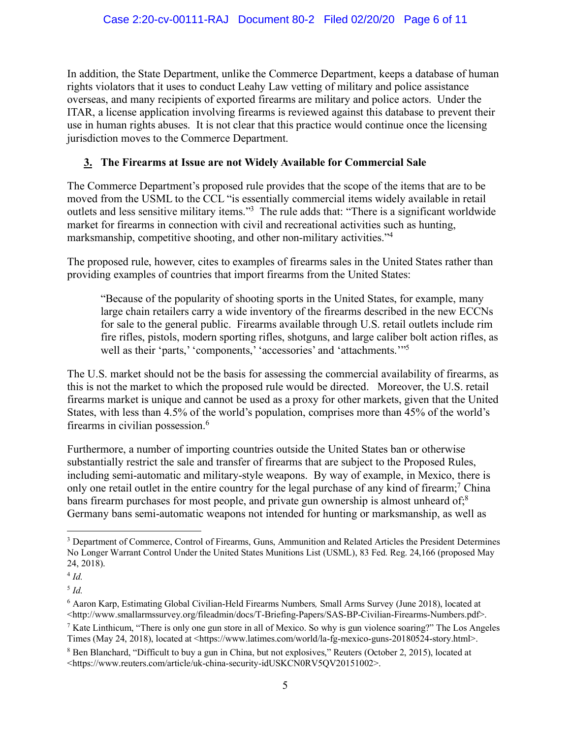In addition, the State Department, unlike the Commerce Department, keeps a database of human rights violators that it uses to conduct Leahy Law vetting of military and police assistance overseas, and many recipients of exported firearms are military and police actors. Under the ITAR, a license application involving firearms is reviewed against this database to prevent their use in human rights abuses. It is not clear that this practice would continue once the licensing jurisdiction moves to the Commerce Department.

# **3. The Firearms at Issue are not Widely Available for Commercial Sale**

The Commerce Department's proposed rule provides that the scope of the items that are to be moved from the USML to the CCL "is essentially commercial items widely available in retail outlets and less sensitive military items."3 The rule adds that: "There is a significant worldwide market for firearms in connection with civil and recreational activities such as hunting, marksmanship, competitive shooting, and other non-military activities."4

The proposed rule, however, cites to examples of firearms sales in the United States rather than providing examples of countries that import firearms from the United States:

"Because of the popularity of shooting sports in the United States, for example, many large chain retailers carry a wide inventory of the firearms described in the new ECCNs for sale to the general public. Firearms available through U.S. retail outlets include rim fire rifles, pistols, modern sporting rifles, shotguns, and large caliber bolt action rifles, as well as their 'parts,' 'components,' 'accessories' and 'attachments.'"<sup>5</sup>

The U.S. market should not be the basis for assessing the commercial availability of firearms, as this is not the market to which the proposed rule would be directed. Moreover, the U.S. retail firearms market is unique and cannot be used as a proxy for other markets, given that the United States, with less than 4.5% of the world's population, comprises more than 45% of the world's firearms in civilian possession.6

Furthermore, a number of importing countries outside the United States ban or otherwise substantially restrict the sale and transfer of firearms that are subject to the Proposed Rules, including semi-automatic and military-style weapons. By way of example, in Mexico, there is only one retail outlet in the entire country for the legal purchase of any kind of firearm;<sup>7</sup> China bans firearm purchases for most people, and private gun ownership is almost unheard of;<sup>8</sup> Germany bans semi-automatic weapons not intended for hunting or marksmanship, as well as

 <sup>3</sup> Department of Commerce, Control of Firearms, Guns, Ammunition and Related Articles the President Determines No Longer Warrant Control Under the United States Munitions List (USML), 83 Fed. Reg. 24,166 (proposed May 24, 2018).

 $4$  *Id.* 

<sup>5</sup> *Id.*

<sup>6</sup> Aaron Karp, Estimating Global Civilian-Held Firearms Numbers*,* Small Arms Survey (June 2018), located at <http://www.smallarmssurvey.org/fileadmin/docs/T-Briefing-Papers/SAS-BP-Civilian-Firearms-Numbers.pdf>.

<sup>&</sup>lt;sup>7</sup> Kate Linthicum, "There is only one gun store in all of Mexico. So why is gun violence soaring?" The Los Angeles Times (May 24, 2018), located at <https://www.latimes.com/world/la-fg-mexico-guns-20180524-story.html>.

<sup>8</sup> Ben Blanchard, "Difficult to buy a gun in China, but not explosives," Reuters (October 2, 2015), located at <https://www.reuters.com/article/uk-china-security-idUSKCN0RV5QV20151002>.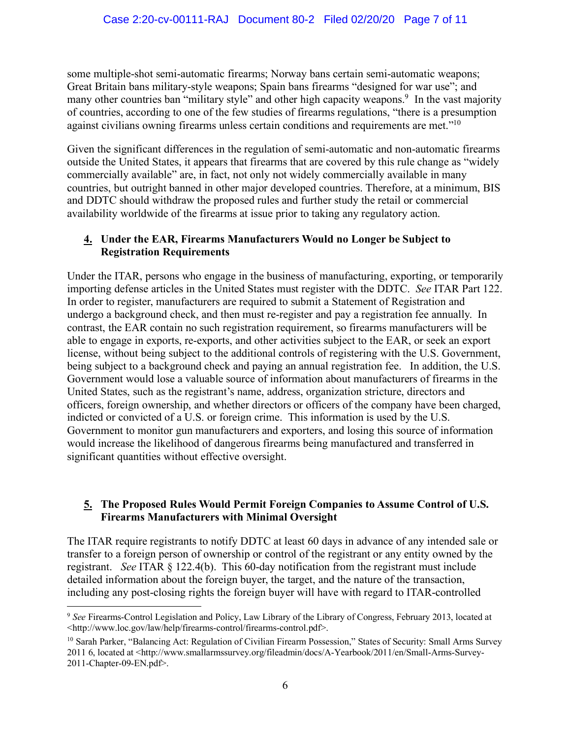some multiple-shot semi-automatic firearms; Norway bans certain semi-automatic weapons; Great Britain bans military-style weapons; Spain bans firearms "designed for war use"; and many other countries ban "military style" and other high capacity weapons.<sup>9</sup> In the vast majority of countries, according to one of the few studies of firearms regulations, "there is a presumption against civilians owning firearms unless certain conditions and requirements are met."10

Given the significant differences in the regulation of semi-automatic and non-automatic firearms outside the United States, it appears that firearms that are covered by this rule change as "widely commercially available" are, in fact, not only not widely commercially available in many countries, but outright banned in other major developed countries. Therefore, at a minimum, BIS and DDTC should withdraw the proposed rules and further study the retail or commercial availability worldwide of the firearms at issue prior to taking any regulatory action.

# **4. Under the EAR, Firearms Manufacturers Would no Longer be Subject to Registration Requirements**

Under the ITAR, persons who engage in the business of manufacturing, exporting, or temporarily importing defense articles in the United States must register with the DDTC. *See* ITAR Part 122. In order to register, manufacturers are required to submit a Statement of Registration and undergo a background check, and then must re-register and pay a registration fee annually. In contrast, the EAR contain no such registration requirement, so firearms manufacturers will be able to engage in exports, re-exports, and other activities subject to the EAR, or seek an export license, without being subject to the additional controls of registering with the U.S. Government, being subject to a background check and paying an annual registration fee. In addition, the U.S. Government would lose a valuable source of information about manufacturers of firearms in the United States, such as the registrant's name, address, organization stricture, directors and officers, foreign ownership, and whether directors or officers of the company have been charged, indicted or convicted of a U.S. or foreign crime. This information is used by the U.S. Government to monitor gun manufacturers and exporters, and losing this source of information would increase the likelihood of dangerous firearms being manufactured and transferred in significant quantities without effective oversight.

# **5. The Proposed Rules Would Permit Foreign Companies to Assume Control of U.S. Firearms Manufacturers with Minimal Oversight**

The ITAR require registrants to notify DDTC at least 60 days in advance of any intended sale or transfer to a foreign person of ownership or control of the registrant or any entity owned by the registrant. *See* ITAR § 122.4(b). This 60-day notification from the registrant must include detailed information about the foreign buyer, the target, and the nature of the transaction, including any post-closing rights the foreign buyer will have with regard to ITAR-controlled

 <sup>9</sup> *See* Firearms-Control Legislation and Policy, Law Library of the Library of Congress, February 2013, located at <http://www.loc.gov/law/help/firearms-control/firearms-control.pdf>.

<sup>&</sup>lt;sup>10</sup> Sarah Parker, "Balancing Act: Regulation of Civilian Firearm Possession," States of Security: Small Arms Survey 2011 6, located at <http://www.smallarmssurvey.org/fileadmin/docs/A-Yearbook/2011/en/Small-Arms-Survey-2011-Chapter-09-EN.pdf>.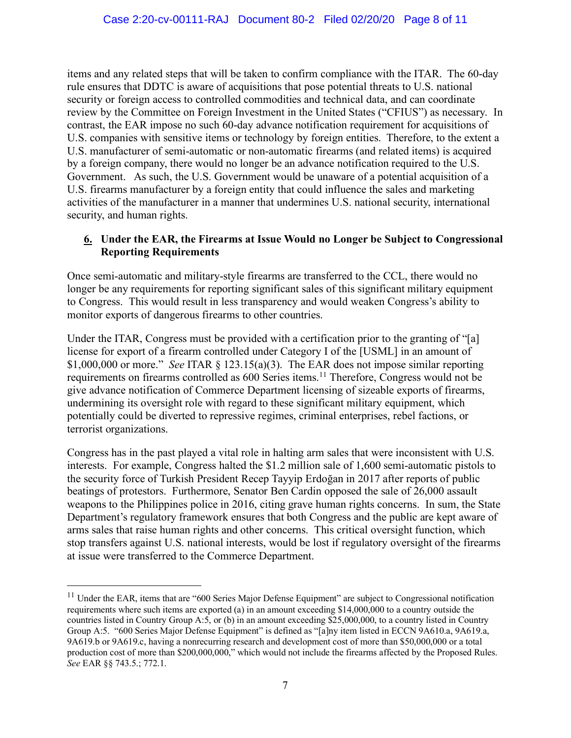items and any related steps that will be taken to confirm compliance with the ITAR. The 60-day rule ensures that DDTC is aware of acquisitions that pose potential threats to U.S. national security or foreign access to controlled commodities and technical data, and can coordinate review by the Committee on Foreign Investment in the United States ("CFIUS") as necessary. In contrast, the EAR impose no such 60-day advance notification requirement for acquisitions of U.S. companies with sensitive items or technology by foreign entities. Therefore, to the extent a U.S. manufacturer of semi-automatic or non-automatic firearms (and related items) is acquired by a foreign company, there would no longer be an advance notification required to the U.S. Government. As such, the U.S. Government would be unaware of a potential acquisition of a U.S. firearms manufacturer by a foreign entity that could influence the sales and marketing activities of the manufacturer in a manner that undermines U.S. national security, international security, and human rights.

# **6. Under the EAR, the Firearms at Issue Would no Longer be Subject to Congressional Reporting Requirements**

Once semi-automatic and military-style firearms are transferred to the CCL, there would no longer be any requirements for reporting significant sales of this significant military equipment to Congress. This would result in less transparency and would weaken Congress's ability to monitor exports of dangerous firearms to other countries.

Under the ITAR, Congress must be provided with a certification prior to the granting of "[a] license for export of a firearm controlled under Category I of the [USML] in an amount of \$1,000,000 or more." *See* ITAR § 123.15(a)(3). The EAR does not impose similar reporting requirements on firearms controlled as 600 Series items.<sup>11</sup> Therefore, Congress would not be give advance notification of Commerce Department licensing of sizeable exports of firearms, undermining its oversight role with regard to these significant military equipment, which potentially could be diverted to repressive regimes, criminal enterprises, rebel factions, or terrorist organizations.

Congress has in the past played a vital role in halting arm sales that were inconsistent with U.S. interests. For example, Congress halted the \$1.2 million sale of 1,600 semi-automatic pistols to the security force of Turkish President Recep Tayyip Erdoğan in 2017 after reports of public beatings of protestors. Furthermore, Senator Ben Cardin opposed the sale of 26,000 assault weapons to the Philippines police in 2016, citing grave human rights concerns. In sum, the State Department's regulatory framework ensures that both Congress and the public are kept aware of arms sales that raise human rights and other concerns. This critical oversight function, which stop transfers against U.S. national interests, would be lost if regulatory oversight of the firearms at issue were transferred to the Commerce Department.

<sup>&</sup>lt;sup>11</sup> Under the EAR, items that are "600 Series Major Defense Equipment" are subject to Congressional notification requirements where such items are exported (a) in an amount exceeding \$14,000,000 to a country outside the countries listed in Country Group A:5, or (b) in an amount exceeding \$25,000,000, to a country listed in Country Group A:5. "600 Series Major Defense Equipment" is defined as "[a]ny item listed in ECCN 9A610.a, 9A619.a, 9A619.b or 9A619.c, having a nonrecurring research and development cost of more than \$50,000,000 or a total production cost of more than \$200,000,000," which would not include the firearms affected by the Proposed Rules. *See* EAR §§ 743.5.; 772.1.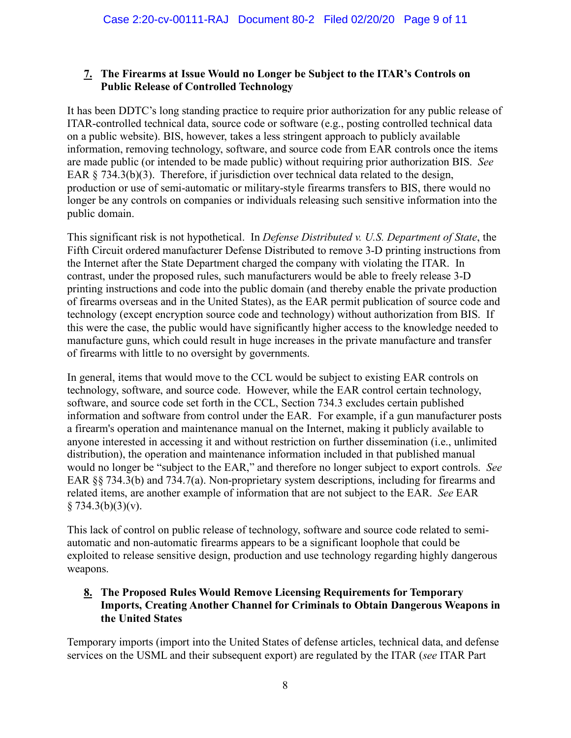# **7. The Firearms at Issue Would no Longer be Subject to the ITAR's Controls on Public Release of Controlled Technology**

It has been DDTC's long standing practice to require prior authorization for any public release of ITAR-controlled technical data, source code or software (e.g., posting controlled technical data on a public website). BIS, however, takes a less stringent approach to publicly available information, removing technology, software, and source code from EAR controls once the items are made public (or intended to be made public) without requiring prior authorization BIS. *See* EAR § 734.3(b)(3). Therefore, if jurisdiction over technical data related to the design, production or use of semi-automatic or military-style firearms transfers to BIS, there would no longer be any controls on companies or individuals releasing such sensitive information into the public domain.

This significant risk is not hypothetical. In *Defense Distributed v. U.S. Department of State*, the Fifth Circuit ordered manufacturer Defense Distributed to remove 3-D printing instructions from the Internet after the State Department charged the company with violating the ITAR. In contrast, under the proposed rules, such manufacturers would be able to freely release 3-D printing instructions and code into the public domain (and thereby enable the private production of firearms overseas and in the United States), as the EAR permit publication of source code and technology (except encryption source code and technology) without authorization from BIS. If this were the case, the public would have significantly higher access to the knowledge needed to manufacture guns, which could result in huge increases in the private manufacture and transfer of firearms with little to no oversight by governments.

In general, items that would move to the CCL would be subject to existing EAR controls on technology, software, and source code. However, while the EAR control certain technology, software, and source code set forth in the CCL, Section 734.3 excludes certain published information and software from control under the EAR. For example, if a gun manufacturer posts a firearm's operation and maintenance manual on the Internet, making it publicly available to anyone interested in accessing it and without restriction on further dissemination (i.e., unlimited distribution), the operation and maintenance information included in that published manual would no longer be "subject to the EAR," and therefore no longer subject to export controls. *See* EAR §§ 734.3(b) and 734.7(a). Non-proprietary system descriptions, including for firearms and related items, are another example of information that are not subject to the EAR. *See* EAR  $§ 734.3(b)(3)(v).$ 

This lack of control on public release of technology, software and source code related to semiautomatic and non-automatic firearms appears to be a significant loophole that could be exploited to release sensitive design, production and use technology regarding highly dangerous weapons.

# **8. The Proposed Rules Would Remove Licensing Requirements for Temporary Imports, Creating Another Channel for Criminals to Obtain Dangerous Weapons in the United States**

Temporary imports (import into the United States of defense articles, technical data, and defense services on the USML and their subsequent export) are regulated by the ITAR (*see* ITAR Part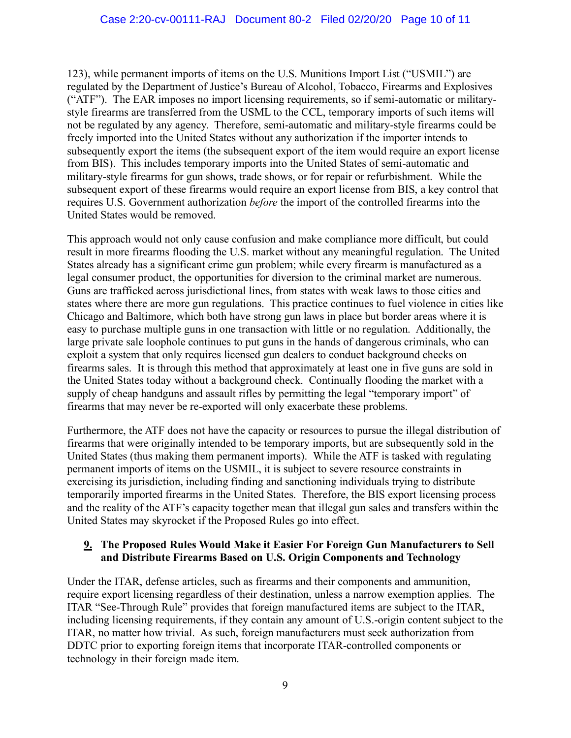123), while permanent imports of items on the U.S. Munitions Import List ("USMIL") are regulated by the Department of Justice's Bureau of Alcohol, Tobacco, Firearms and Explosives ("ATF"). The EAR imposes no import licensing requirements, so if semi-automatic or militarystyle firearms are transferred from the USML to the CCL, temporary imports of such items will not be regulated by any agency. Therefore, semi-automatic and military-style firearms could be freely imported into the United States without any authorization if the importer intends to subsequently export the items (the subsequent export of the item would require an export license from BIS). This includes temporary imports into the United States of semi-automatic and military-style firearms for gun shows, trade shows, or for repair or refurbishment. While the subsequent export of these firearms would require an export license from BIS, a key control that requires U.S. Government authorization *before* the import of the controlled firearms into the United States would be removed.

This approach would not only cause confusion and make compliance more difficult, but could result in more firearms flooding the U.S. market without any meaningful regulation. The United States already has a significant crime gun problem; while every firearm is manufactured as a legal consumer product, the opportunities for diversion to the criminal market are numerous. Guns are trafficked across jurisdictional lines, from states with weak laws to those cities and states where there are more gun regulations. This practice continues to fuel violence in cities like Chicago and Baltimore, which both have strong gun laws in place but border areas where it is easy to purchase multiple guns in one transaction with little or no regulation. Additionally, the large private sale loophole continues to put guns in the hands of dangerous criminals, who can exploit a system that only requires licensed gun dealers to conduct background checks on firearms sales. It is through this method that approximately at least one in five guns are sold in the United States today without a background check. Continually flooding the market with a supply of cheap handguns and assault rifles by permitting the legal "temporary import" of firearms that may never be re-exported will only exacerbate these problems.

Furthermore, the ATF does not have the capacity or resources to pursue the illegal distribution of firearms that were originally intended to be temporary imports, but are subsequently sold in the United States (thus making them permanent imports). While the ATF is tasked with regulating permanent imports of items on the USMIL, it is subject to severe resource constraints in exercising its jurisdiction, including finding and sanctioning individuals trying to distribute temporarily imported firearms in the United States. Therefore, the BIS export licensing process and the reality of the ATF's capacity together mean that illegal gun sales and transfers within the United States may skyrocket if the Proposed Rules go into effect.

# **9. The Proposed Rules Would Make it Easier For Foreign Gun Manufacturers to Sell and Distribute Firearms Based on U.S. Origin Components and Technology**

Under the ITAR, defense articles, such as firearms and their components and ammunition, require export licensing regardless of their destination, unless a narrow exemption applies. The ITAR "See-Through Rule" provides that foreign manufactured items are subject to the ITAR, including licensing requirements, if they contain any amount of U.S.-origin content subject to the ITAR, no matter how trivial. As such, foreign manufacturers must seek authorization from DDTC prior to exporting foreign items that incorporate ITAR-controlled components or technology in their foreign made item.